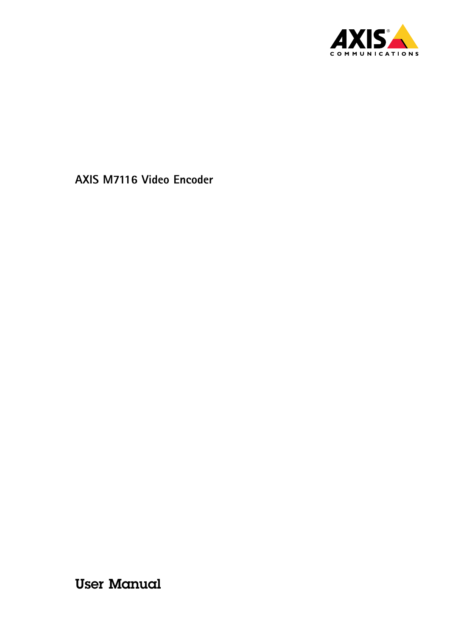

User Manual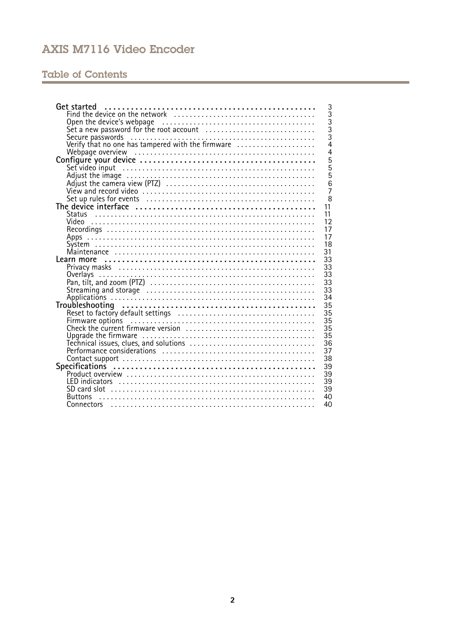## **Table of Contents**

| Get started                                                                                                                                                       | 3                                     |
|-------------------------------------------------------------------------------------------------------------------------------------------------------------------|---------------------------------------|
|                                                                                                                                                                   | $\overline{3}$                        |
| Open the device's webpage<br>Set a new password for the root account<br>Secure passwords<br>Secure passwords<br>Verify that no one has tampered with the firmware | $\begin{array}{c} 3 \\ 3 \end{array}$ |
|                                                                                                                                                                   |                                       |
|                                                                                                                                                                   |                                       |
|                                                                                                                                                                   | $\overline{4}$                        |
|                                                                                                                                                                   | $\overline{4}$                        |
|                                                                                                                                                                   | 5                                     |
|                                                                                                                                                                   | $\overline{5}$                        |
|                                                                                                                                                                   | $\overline{5}$                        |
| Set video input<br>Adjust the image<br>Adjust the camera view (PTZ)<br>View and record video                                                                      | 6                                     |
|                                                                                                                                                                   | $\overline{7}$                        |
|                                                                                                                                                                   | 8                                     |
| Set up rules for events<br>The device interface<br>11                                                                                                             |                                       |
| 11                                                                                                                                                                |                                       |
| 12                                                                                                                                                                |                                       |
| 17                                                                                                                                                                |                                       |
| 17                                                                                                                                                                |                                       |
| 18                                                                                                                                                                |                                       |
| 31                                                                                                                                                                |                                       |
| 33                                                                                                                                                                |                                       |
| 33                                                                                                                                                                |                                       |
| 33<br>Overlays                                                                                                                                                    |                                       |
| 33                                                                                                                                                                |                                       |
| 33                                                                                                                                                                |                                       |
| 34                                                                                                                                                                |                                       |
| 35                                                                                                                                                                |                                       |
| Troubleshooting<br>Reset to factory default settings<br>Firmware options<br>Check the current firmware version<br>35                                              |                                       |
| 35                                                                                                                                                                |                                       |
| 35                                                                                                                                                                |                                       |
| 35                                                                                                                                                                |                                       |
| Upgrade the firmware<br>Technical issues, clues, and solutions<br>36                                                                                              |                                       |
| 37                                                                                                                                                                |                                       |
| 38                                                                                                                                                                |                                       |
|                                                                                                                                                                   |                                       |
| 39                                                                                                                                                                |                                       |
| 39                                                                                                                                                                |                                       |
| 39                                                                                                                                                                |                                       |
| 39                                                                                                                                                                |                                       |
| 40<br><b>Buttons</b>                                                                                                                                              |                                       |
| 40<br>Connectors                                                                                                                                                  |                                       |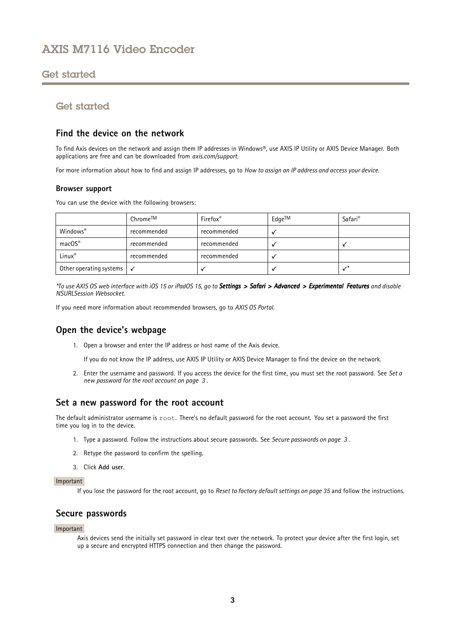## <span id="page-2-0"></span>Get started

## Get started

### **Find the device on the network**

To find Axis devices on the network and assign them IP addresses in Windows®, use AXIS IP Utility or AXIS Device Manager. Both applications are free and can be downloaded from *[axis.com/support](https://www.axis.com/support)*.

For more information about how to find and assign IP addresses, go to *How to [assign](https://www.axis.com/products/online-manual/i90000) an IP address and access your device*.

### **Browser support**

You can use the device with the following browsers:

|                                       | Chrome™     | Firefox <sup>®</sup> | Edge™ | Safari <sup>®</sup> |
|---------------------------------------|-------------|----------------------|-------|---------------------|
| Windows®                              | recommended | recommended          |       |                     |
| $macOS^*$                             | recommended | recommended          |       |                     |
| Linux®                                | recommended | recommended          |       |                     |
| Other operating systems $\mathcal{A}$ |             |                      |       |                     |

\*To use AXIS OS web interface with iOS 15 or iPadOS 15, go to Settings > Safari > Advanced > Experimental Features and disable *NSURLSession Websocket.*

If you need more information about recommended browsers, go to *AXIS OS [Portal](https://help.axis.com/axis-os#browser-support)*.

### **Open the device's webpage**

1. Open <sup>a</sup> browser and enter the IP address or host name of the Axis device.

If you do not know the IP address, use AXIS IP Utility or AXIS Device Manager to find the device on the network.

2. Enter the username and password. If you access the device for the first time, you must set the root password. See *Set <sup>a</sup> new password for the root account on page 3* .

### **Set <sup>a</sup> new password for the root account**

The default administrator username is root. There's no default password for the root account. You set <sup>a</sup> password the first time you log in to the device.

- 1. Type <sup>a</sup> password. Follow the instructions about secure passwords. See *Secure passwords on page 3* .
- 2. Retype the password to confirm the spelling.
- 3. Click **Add user**.

### Important

If you lose the password for the root account, go to *Reset to factory default [settings](#page-34-0) on page [35](#page-34-0)* and follow the instructions.

### **Secure passwords**

### Important

Axis devices send the initially set password in clear text over the network. To protect your device after the first login, set up <sup>a</sup> secure and encrypted HTTPS connection and then change the password.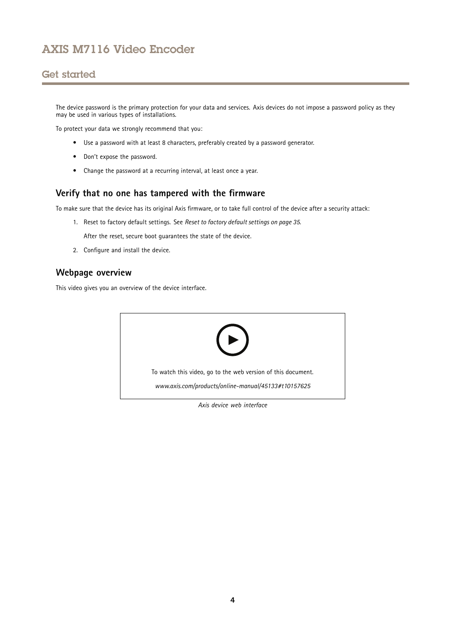## <span id="page-3-0"></span>Get started

The device password is the primary protection for your data and services. Axis devices do not impose <sup>a</sup> password policy as they may be used in various types of installations.

To protect your data we strongly recommend that you:

- Use <sup>a</sup> password with at least 8 characters, preferably created by <sup>a</sup> password generator.
- Don't expose the password.
- Change the password at <sup>a</sup> recurring interval, at least once <sup>a</sup> year.

### **Verify that no one has tampered with the firmware**

To make sure that the device has its original Axis firmware, or to take full control of the device after <sup>a</sup> security attack:

1. Reset to factory default settings. See *Reset to factory default [settings](#page-34-0) on page [35](#page-34-0)*.

After the reset, secure boot guarantees the state of the device.

2. Configure and install the device.

### **Webpage overview**

This video gives you an overview of the device interface.



*Axis device web interface*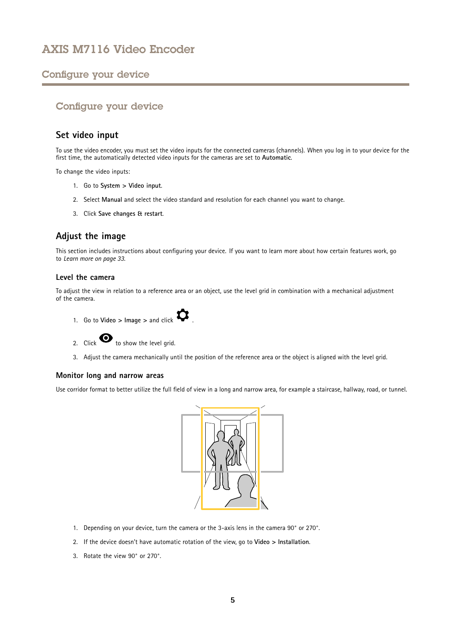### <span id="page-4-0"></span>Configure your device

### Configure your device

### **Set video input**

To use the video encoder, you must set the video inputs for the connected cameras (channels). When you log in to your device for the first time, the automatically detected video inputs for the cameras are set to **Automatic**.

To change the video inputs:

- 1. Go to **System <sup>&</sup>gt; Video input**.
- 2. Select **Manual** and select the video standard and resolution for each channel you want to change.
- 3. Click **Save changes & restart**.

### **Adjust the image**

This section includes instructions about configuring your device. If you want to learn more about how certain features work, go to *[Learn](#page-32-0) more on page [33](#page-32-0)*.

### **Level the camera**

To adjust the view in relation to <sup>a</sup> reference area or an object, use the level grid in combination with <sup>a</sup> mechanical adjustment of the camera.



2. Click  $\bullet$  to show the level grid.

3. Adjust the camera mechanically until the position of the reference area or the object is aligned with the level grid.

#### **Monitor long and narrow areas**

Use corridor format to better utilize the full field of view in <sup>a</sup> long and narrow area, for example <sup>a</sup> staircase, hallway, road, or tunnel.



- 1. Depending on your device, turn the camera or the 3-axis lens in the camera 90° or 270°.
- 2. If the device doesn't have automatic rotation of the view, go to **Video <sup>&</sup>gt; Installation**.
- 3. Rotate the view 90° or 270°.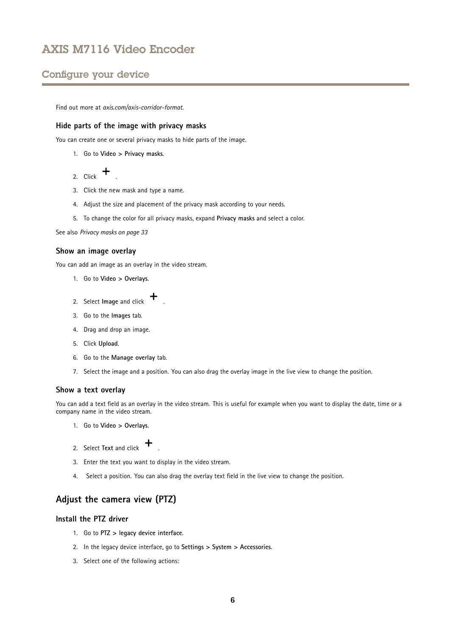### <span id="page-5-0"></span>Configure your device

Find out more at *[axis.com/axis-corridor-format](https://www.axis.com/axis-corridor-format)*.

### **Hide parts of the image with privacy masks**

You can create one or several privacy masks to hide parts of the image.

1. Go to **Video <sup>&</sup>gt; Privacy masks**.

2. Click  $+$ 

- 3. Click the new mask and type <sup>a</sup> name.
- 4. Adjust the size and placement of the privacy mask according to your needs.
- 5. To change the color for all privacy masks, expand **Privacy masks** and select <sup>a</sup> color.

See also *[Privacy](#page-32-0) masks on page [33](#page-32-0)*

### **Show an image overlay**

You can add an image as an overlay in the video stream.

- 1. Go to **Video <sup>&</sup>gt; Overlays**.
- 2. Select **Image** and click **+**
- 3. Go to the **Images** tab.
- 4. Drag and drop an image.
- 5. Click **Upload**.
- 6. Go to the **Manage overlay** tab.
- 7. Select the image and <sup>a</sup> position. You can also drag the overlay image in the live view to change the position.

#### **Show <sup>a</sup> text overlay**

You can add <sup>a</sup> text field as an overlay in the video stream. This is useful for example when you want to display the date, time or <sup>a</sup> company name in the video stream.

- 1. Go to **Video <sup>&</sup>gt; Overlays**.
- 2. Select **Text** and click .
- 3. Enter the text you want to display in the video stream.
- 4. Select <sup>a</sup> position. You can also drag the overlay text field in the live view to change the position.

### **Adjust the camera view (PTZ)**

### **Install the PTZ driver**

- 1. Go to **PTZ <sup>&</sup>gt; legacy device interface**.
- 2. In the legacy device interface, go to **Settings <sup>&</sup>gt; System <sup>&</sup>gt; Accessories**.
- 3. Select one of the following actions: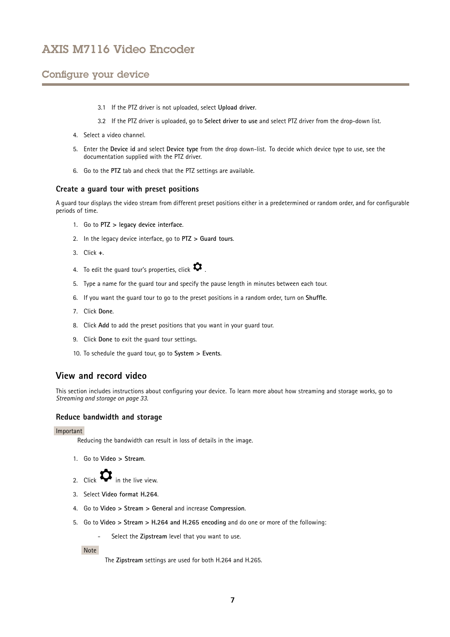## <span id="page-6-0"></span>Configure your device

- 3.1 If the PTZ driver is not uploaded, select **Upload driver**.
- 3.2 If the PTZ driver is uploaded, go to **Select driver to use** and select PTZ driver from the drop-down list.
- 4. Select <sup>a</sup> video channel.
- 5. Enter the **Device id** and select **Device type** from the drop down-list. To decide which device type to use, see the documentation supplied with the PTZ driver.
- 6. Go to the **PTZ** tab and check that the PTZ settings are available.

### **Create <sup>a</sup> guard tour with preset positions**

A guard tour displays the video stream from different preset positions either in <sup>a</sup> predetermined or random order, and for configurable periods of time.

- 1. Go to **PTZ <sup>&</sup>gt; legacy device interface**.
- 2. In the legacy device interface, go to **PTZ <sup>&</sup>gt; Guard tours**.
- 3. Click **<sup>+</sup>**.
- 4. To edit the guard tour's properties, click  $\boldsymbol{\mathcal{Q}}$ .
- 5. Type <sup>a</sup> name for the guard tour and specify the pause length in minutes between each tour.
- 6. If you want the guard tour to go to the preset positions in <sup>a</sup> random order, turn on **Shuffle**.
- 7. Click **Done**.
- 8. Click **Add** to add the preset positions that you want in your guard tour.
- 9. Click **Done** to exit the guard tour settings.
- 10. To schedule the guard tour, go to **System <sup>&</sup>gt; Events**.

### **View and record video**

This section includes instructions about configuring your device. To learn more about how streaming and storage works, go to *[Streaming](#page-32-0) and storage on page [33](#page-32-0)*.

### **Reduce bandwidth and storage**

#### Important

Reducing the bandwidth can result in loss of details in the image.

- 1. Go to **Video <sup>&</sup>gt; Stream**.
- 2. Click  $\bullet$  in the live view.
- 3. Select **Video format H.264**.
- 4. Go to **Video <sup>&</sup>gt; Stream <sup>&</sup>gt; General** and increase **Compression**.
- 5. Go to **Video <sup>&</sup>gt; Stream <sup>&</sup>gt; H.264 and H.265 encoding** and do one or more of the following:
	- Select the **Zipstream** level that you want to use.

Note

The **Zipstream** settings are used for both H.264 and H.265.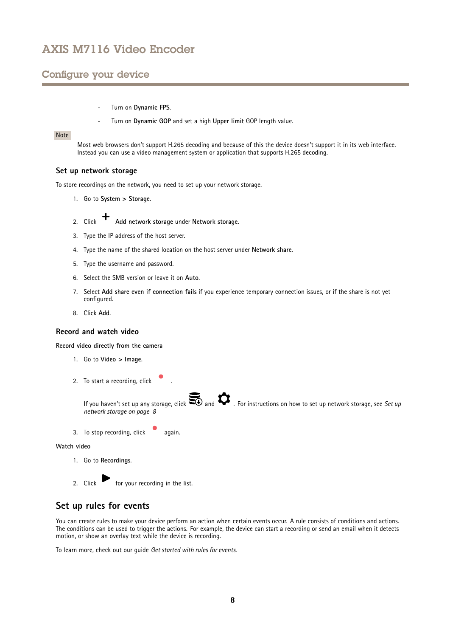### <span id="page-7-0"></span>Configure your device

- Turn on **Dynamic FPS**.
- Turn on **Dynamic GOP** and set <sup>a</sup> high **Upper limit** GOP length value.

### Note

Most web browsers don't support H.265 decoding and because of this the device doesn't support it in its web interface. Instead you can use <sup>a</sup> video management system or application that supports H.265 decoding.

### **Set up network storage**

To store recordings on the network, you need to set up your network storage.

- 1. Go to **System <sup>&</sup>gt; Storage**.
- 2. Click **Add network storage** under **Network storage**.
- 3. Type the IP address of the host server.
- 4. Type the name of the shared location on the host server under **Network share**.
- 5. Type the username and password.
- 6. Select the SMB version or leave it on **Auto**.
- 7. Select **Add share even if connection fails** if you experience temporary connection issues, or if the share is not yet configured.
- 8. Click **Add**.

#### **Record and watch video**

**Record video directly from the camera**

- 1. Go to **Video <sup>&</sup>gt; Image**.
- 2. To start a recording, click



3. To stop recording, click again.

### **Watch video**

1. Go to **Recordings**.

2. Click for your recording in the list.

# **Set up rules for events**

You can create rules to make your device perform an action when certain events occur. A rule consists of conditions and actions. The conditions can be used to trigger the actions. For example, the device can start <sup>a</sup> recording or send an email when it detects motion, or show an overlay text while the device is recording.

To learn more, check out our guide *Get [started](https://help.axis.com/get-started-with-rules-for-events) with rules for events*.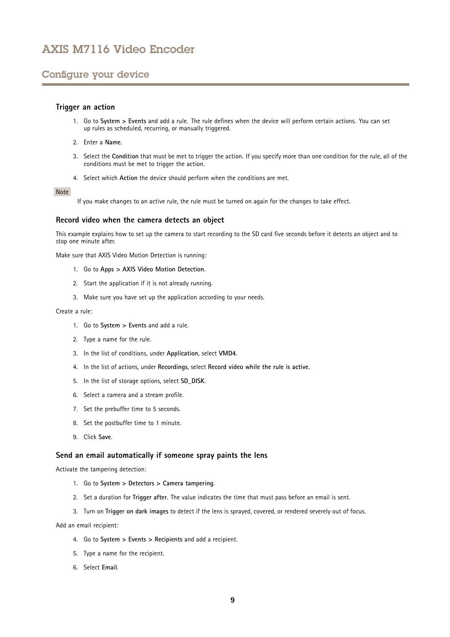### Configure your device

### **Trigger an action**

- 1. Go to **System <sup>&</sup>gt; Events** and add <sup>a</sup> rule. The rule defines when the device will perform certain actions. You can set up rules as scheduled, recurring, or manually triggered.
- 2. Enter a **Name**.
- 3. Select the **Condition** that must be met to trigger the action. If you specify more than one condition for the rule, all of the conditions must be met to trigger the action.
- 4. Select which **Action** the device should perform when the conditions are met.

#### Note

If you make changes to an active rule, the rule must be turned on again for the changes to take effect.

#### **Record video when the camera detects an object**

This example explains how to set up the camera to start recording to the SD card five seconds before it detects an object and to stop one minute after.

Make sure that AXIS Video Motion Detection is running:

- 1. Go to **Apps <sup>&</sup>gt; AXIS Video Motion Detection**.
- 2. Start the application if it is not already running.
- 3. Make sure you have set up the application according to your needs.

#### Create <sup>a</sup> rule:

- 1. Go to **System <sup>&</sup>gt; Events** and add <sup>a</sup> rule.
- 2. Type <sup>a</sup> name for the rule.
- 3. In the list of conditions, under **Application**, select **VMD4**.
- 4. In the list of actions, under **Recordings**, select **Record video while the rule is active**.
- 5. In the list of storage options, select **SD\_DISK**.
- 6. Select <sup>a</sup> camera and <sup>a</sup> stream profile.
- 7. Set the prebuffer time to 5 seconds.
- 8. Set the postbuffer time to <sup>1</sup> minute.
- 9. Click **Save**.

### **Send an email automatically if someone spray paints the lens**

Activate the tampering detection:

- 1. Go to **System <sup>&</sup>gt; Detectors <sup>&</sup>gt; Camera tampering**.
- 2. Set <sup>a</sup> duration for **Trigger after**. The value indicates the time that must pass before an email is sent.
- 3. Turn on **Trigger on dark images** to detect if the lens is sprayed, covered, or rendered severely out of focus.

#### Add an email recipient:

- 4. Go to **System <sup>&</sup>gt; Events <sup>&</sup>gt; Recipients** and add <sup>a</sup> recipient.
- 5. Type <sup>a</sup> name for the recipient.
- 6. Select **Email**.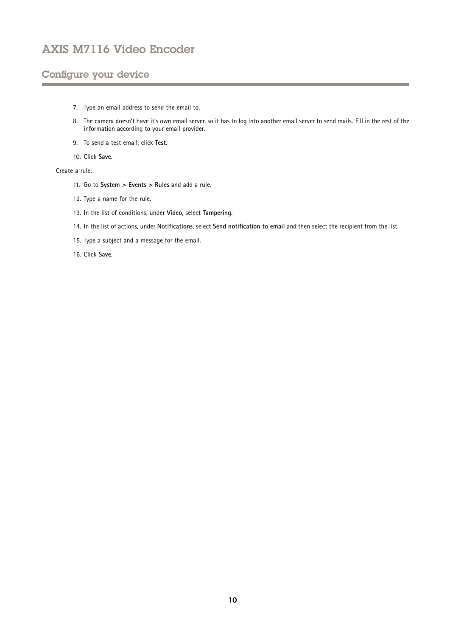## Configure your device

- 7. Type an email address to send the email to.
- 8. The camera doesn't have it's own email server, so it has to log into another email server to send mails. Fill in the rest of the information according to your email provider.
- 9. To send <sup>a</sup> test email, click **Test**.
- 10. Click **Save**.

### Create <sup>a</sup> rule:

- 11. Go to **System <sup>&</sup>gt; Events <sup>&</sup>gt; Rules** and add <sup>a</sup> rule.
- 12. Type <sup>a</sup> name for the rule.
- 13. In the list of conditions, under **Video**, select **Tampering**.
- 14. In the list of actions, under **Notifications**, select **Send notification to email** and then select the recipient from the list.
- 15. Type <sup>a</sup> subject and <sup>a</sup> message for the email.
- 16. Click **Save**.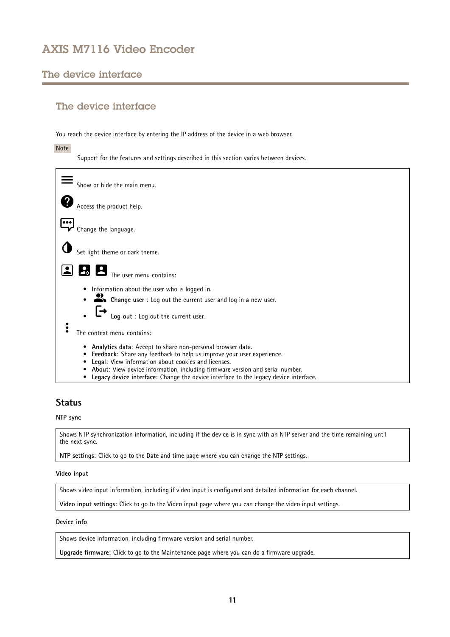## <span id="page-10-0"></span>The device interface

## The device interface

You reach the device interface by entering the IP address of the device in <sup>a</sup> web browser.

Note

Support for the features and settings described in this section varies between devices.



## **Status**

### **NTP sync**

Shows NTP synchronization information, including if the device is in sync with an NTP server and the time remaining until the next sync.

**NTP settings**: Click to go to the Date and time page where you can change the NTP settings.

### **Video input**

Shows video input information, including if video input is configured and detailed information for each channel.

**Video input settings**: Click to go to the Video input page where you can change the video input settings.

### **Device info**

Shows device information, including firmware version and serial number.

**Upgrade firmware**: Click to go to the Maintenance page where you can do <sup>a</sup> firmware upgrade.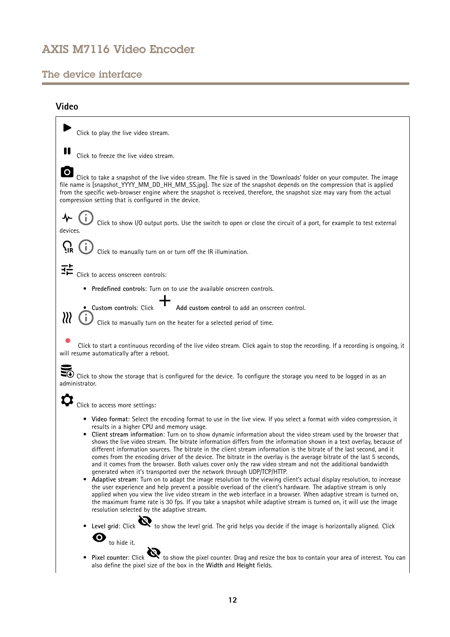## <span id="page-11-0"></span>The device interface

## **Video**

| Click to play the live video stream.                                                                                                                                                                                                                                                                                                                                                                                                                                                                                                                                                                                                                                                                                                                                                                                                                                                                                                                                                                                                                                                                                                                                                                                                                                                                                                                                                                                                                                                                                                                                                  |
|---------------------------------------------------------------------------------------------------------------------------------------------------------------------------------------------------------------------------------------------------------------------------------------------------------------------------------------------------------------------------------------------------------------------------------------------------------------------------------------------------------------------------------------------------------------------------------------------------------------------------------------------------------------------------------------------------------------------------------------------------------------------------------------------------------------------------------------------------------------------------------------------------------------------------------------------------------------------------------------------------------------------------------------------------------------------------------------------------------------------------------------------------------------------------------------------------------------------------------------------------------------------------------------------------------------------------------------------------------------------------------------------------------------------------------------------------------------------------------------------------------------------------------------------------------------------------------------|
| Click to freeze the live video stream.                                                                                                                                                                                                                                                                                                                                                                                                                                                                                                                                                                                                                                                                                                                                                                                                                                                                                                                                                                                                                                                                                                                                                                                                                                                                                                                                                                                                                                                                                                                                                |
| $\mathbf O$<br>Click to take a snapshot of the live video stream. The file is saved in the 'Downloads' folder on your computer. The image<br>file name is [snapshot_YYYY_MM_DD_HH_MM_SS.jpg]. The size of the snapshot depends on the compression that is applied<br>from the specific web-browser engine where the snapshot is received, therefore, the snapshot size may vary from the actual<br>compression setting that is configured in the device.                                                                                                                                                                                                                                                                                                                                                                                                                                                                                                                                                                                                                                                                                                                                                                                                                                                                                                                                                                                                                                                                                                                              |
| Click to show I/O output ports. Use the switch to open or close the circuit of a port, for example to test external<br>devices.                                                                                                                                                                                                                                                                                                                                                                                                                                                                                                                                                                                                                                                                                                                                                                                                                                                                                                                                                                                                                                                                                                                                                                                                                                                                                                                                                                                                                                                       |
| Click to manually turn on or turn off the IR illumination.                                                                                                                                                                                                                                                                                                                                                                                                                                                                                                                                                                                                                                                                                                                                                                                                                                                                                                                                                                                                                                                                                                                                                                                                                                                                                                                                                                                                                                                                                                                            |
| ᆴ<br>Click to access onscreen controls:                                                                                                                                                                                                                                                                                                                                                                                                                                                                                                                                                                                                                                                                                                                                                                                                                                                                                                                                                                                                                                                                                                                                                                                                                                                                                                                                                                                                                                                                                                                                               |
| Predefined controls: Turn on to use the available onscreen controls.                                                                                                                                                                                                                                                                                                                                                                                                                                                                                                                                                                                                                                                                                                                                                                                                                                                                                                                                                                                                                                                                                                                                                                                                                                                                                                                                                                                                                                                                                                                  |
| Add custom control to add an onscreen control.<br>· Custom controls: Click                                                                                                                                                                                                                                                                                                                                                                                                                                                                                                                                                                                                                                                                                                                                                                                                                                                                                                                                                                                                                                                                                                                                                                                                                                                                                                                                                                                                                                                                                                            |
| ∦<br>Click to manually turn on the heater for a selected period of time.                                                                                                                                                                                                                                                                                                                                                                                                                                                                                                                                                                                                                                                                                                                                                                                                                                                                                                                                                                                                                                                                                                                                                                                                                                                                                                                                                                                                                                                                                                              |
| Click to start a continuous recording of the live video stream. Click again to stop the recording. If a recording is ongoing, it<br>will resume automatically after a reboot.                                                                                                                                                                                                                                                                                                                                                                                                                                                                                                                                                                                                                                                                                                                                                                                                                                                                                                                                                                                                                                                                                                                                                                                                                                                                                                                                                                                                         |
| $\blacktriangleright$ Click to show the storage that is configured for the device. To configure the storage you need to be logged in as an<br>administrator.                                                                                                                                                                                                                                                                                                                                                                                                                                                                                                                                                                                                                                                                                                                                                                                                                                                                                                                                                                                                                                                                                                                                                                                                                                                                                                                                                                                                                          |
| Click to access more settings:                                                                                                                                                                                                                                                                                                                                                                                                                                                                                                                                                                                                                                                                                                                                                                                                                                                                                                                                                                                                                                                                                                                                                                                                                                                                                                                                                                                                                                                                                                                                                        |
| • Video format: Select the encoding format to use in the live view. If you select a format with video compression, it<br>results in a higher CPU and memory usage.<br>• Client stream information: Turn on to show dynamic information about the video stream used by the browser that<br>shows the live video stream. The bitrate information differs from the information shown in a text overlay, because of<br>different information sources. The bitrate in the client stream information is the bitrate of the last second, and it<br>comes from the encoding driver of the device. The bitrate in the overlay is the average bitrate of the last 5 seconds,<br>and it comes from the browser. Both values cover only the raw video stream and not the additional bandwidth<br>generated when it's transported over the network through UDP/TCP/HTTP.<br>Adaptive stream: Turn on to adapt the image resolution to the viewing client's actual display resolution, to increase<br>$\bullet$<br>the user experience and help prevent a possible overload of the client's hardware. The adaptive stream is only<br>applied when you view the live video stream in the web interface in a browser. When adaptive stream is turned on,<br>the maximum frame rate is 30 fps. If you take a snapshot while adaptive stream is turned on, it will use the image<br>resolution selected by the adaptive stream.<br>Level grid: Click $\mathbf{Q}$ to show the level grid. The grid helps you decide if the image is horizontally aligned. Click<br>$\boldsymbol{\Theta}$<br>to hide it. |
| Pixel counter: Click $\mathbf{Q}$ to show the pixel counter. Drag and resize the box to contain your area of interest. You can<br>also define the pixel size of the box in the Width and Height fields.                                                                                                                                                                                                                                                                                                                                                                                                                                                                                                                                                                                                                                                                                                                                                                                                                                                                                                                                                                                                                                                                                                                                                                                                                                                                                                                                                                               |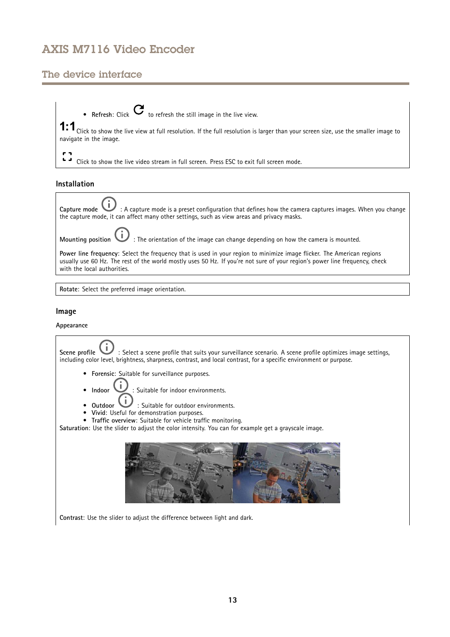## The device interface

• **Refresh**: Click  $\bullet$  to refresh the still image in the live view.  ${\small 1:1}\normalsize$  Click to show the live view at full resolution. If the full resolution is larger than your screen size, use the smaller image to navigate in the image.

 $\frac{1}{2}$  $\Delta$ Click to show the live video stream in full screen. Press ESC to exit full screen mode.

### **Installation**

**Capture mode** : A capture mode is <sup>a</sup> preset configuration that defines how the camera captures images. When you change the capture mode, it can affect many other settings, such as view areas and privacy masks.

**Mounting** position **1** : The orientation of the image can change depending on how the camera is mounted.

**Power line frequency**: Select the frequency that is used in your region to minimize image flicker. The American regions usually use 60 Hz. The rest of the world mostly uses 50 Hz. If you're not sure of your region's power line frequency, check with the local authorities.

**Rotate**: Select the preferred image orientation.

### **Image**

### **Appearance**

**Scene profile**  $\Box$  : Select a scene profile that suits your surveillance scenario. A scene profile optimizes image settings, including color level, brightness, sharpness, contrast, and local contrast, for <sup>a</sup> specific environment or purpose.

- •**Forensic**: Suitable for surveillance purposes.
- •**Indoor** : Suitable for indoor environments.
- **Outdoor U** : Suitable for outdoor environments.
- •
- • **Vivid**: Useful for demonstration purposes. •
- **Traffic overview**: Suitable for vehicle traffic monitoring.

**Saturation**: Use the slider to adjust the color intensity. You can for example get <sup>a</sup> grayscale image.



**Contrast**: Use the slider to adjust the difference between light and dark.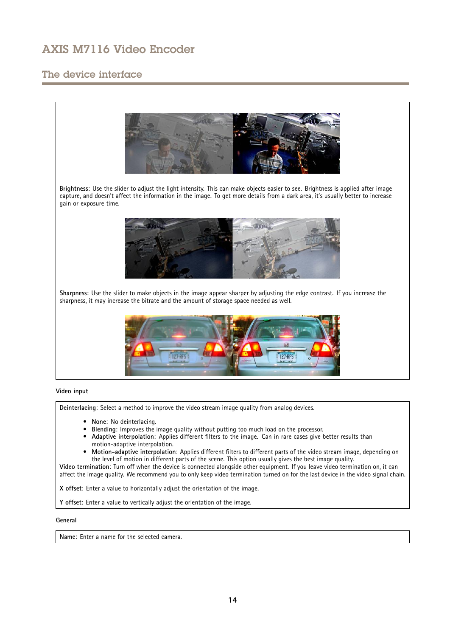## The device interface



**Video input**

**Deinterlacing**: Select <sup>a</sup> method to improve the video stream image quality from analog devices.

- **None**: No deinterlacing.
- **Blending**: Improves the image quality without putting too much load on the processor.
- • **Adaptive interpolation**: Applies different filters to the image. Can in rare cases give better results than motion-adaptive interpolation.
- • **Motion-adaptive interpolation**: Applies different filters to different parts of the video stream image, depending on the level of motion in different parts of the scene. This option usually gives the best image quality.

**Video termination**: Turn off when the device is connected alongside other equipment. If you leave video termination on, it can affect the image quality. We recommend you to only keep video termination turned on for the last device in the video signal chain.

**X offset**: Enter <sup>a</sup> value to horizontally adjust the orientation of the image.

**Y offset**: Enter <sup>a</sup> value to vertically adjust the orientation of the image.

### **General**

**Name**: Enter a name for the selected camera.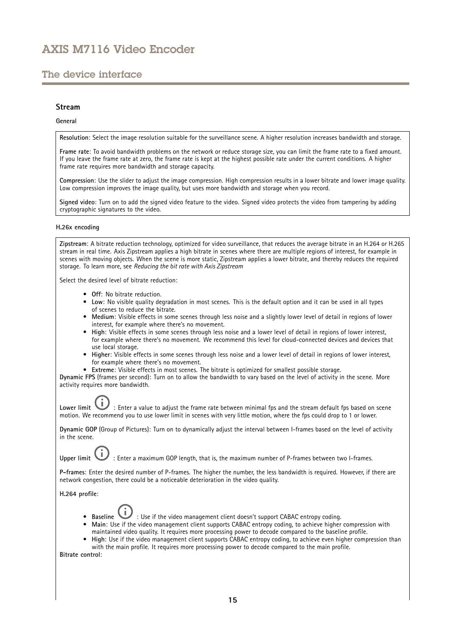## The device interface

### **Stream**

#### **General**

**Resolution**: Select the image resolution suitable for the surveillance scene. A higher resolution increases bandwidth and storage.

**Frame rate**: To avoid bandwidth problems on the network or reduce storage size, you can limit the frame rate to <sup>a</sup> fixed amount. If you leave the frame rate at zero, the frame rate is kept at the highest possible rate under the current conditions. A higher frame rate requires more bandwidth and storage capacity.

**Compression**: Use the slider to adjust the image compression. High compression results in <sup>a</sup> lower bitrate and lower image quality. Low compression improves the image quality, but uses more bandwidth and storage when you record.

**Signed video**: Turn on to add the signed video feature to the video. Signed video protects the video from tampering by adding cryptographic signatures to the video.

#### **H.26x encoding**

**Zipstream**: A bitrate reduction technology, optimized for video surveillance, that reduces the average bitrate in an H.264 or H.265 stream in real time. Axis Zipstream applies <sup>a</sup> high bitrate in scenes where there are multiple regions of interest, for example in scenes with moving objects. When the scene is more static, Zipstream applies <sup>a</sup> lower bitrate, and thereby reduces the required storage. To learn more, see *Reducing the bit rate with Axis [Zipstream](https://www.axis.com/learning/web-articles/reducing-the-bit-rate-with-axis-zipstream)*

Select the desired level of bitrate reduction:

- **Off**: No bitrate reduction.
- **Low**: No visible quality degradation in most scenes. This is the default option and it can be used in all types of scenes to reduce the bitrate.
- • **Medium**: Visible effects in some scenes through less noise and <sup>a</sup> slightly lower level of detail in regions of lower interest, for example where there's no movement.
- **High**: Visible effects in some scenes through less noise and <sup>a</sup> lower level of detail in regions of lower interest, for example where there's no movement. We recommend this level for cloud-connected devices and devices that use local storage.
- **Higher**: Visible effects in some scenes through less noise and <sup>a</sup> lower level of detail in regions of lower interest, for example where there's no movement.
- •**Extreme**: Visible effects in most scenes. The bitrate is optimized for smallest possible storage.

**Dynamic FPS** (frames per second): Turn on to allow the bandwidth to vary based on the level of activity in the scene. More activity requires more bandwidth.

Lower limit **the state of a value** to adjust the frame rate between minimal fps and the stream default fps based on scene motion. We recommend you to use lower limit in scenes with very little motion, where the fps could drop to <sup>1</sup> or lower.

**Dynamic GOP** (Group of Pictures): Turn on to dynamically adjust the interval between I-frames based on the level of activity in the scene.

Upper limit **UP**: Enter a maximum GOP length, that is, the maximum number of P-frames between two I-frames.

**P-frames**: Enter the desired number of P-frames. The higher the number, the less bandwidth is required. However, if there are network congestion, there could be <sup>a</sup> noticeable deterioration in the video quality.

**H.264 profile**:

- Baseline **Baseline** : Use if the video management client doesn't support CABAC entropy coding.
- **Main**: Use if the video management client supports CABAC entropy coding, to achieve higher compression with maintained video quality. It requires more processing power to decode compared to the baseline profile.
- • **High**: Use if the video management client supports CABAC entropy coding, to achieve even higher compression than with the main profile. It requires more processing power to decode compared to the main profile.

**Bitrate control**: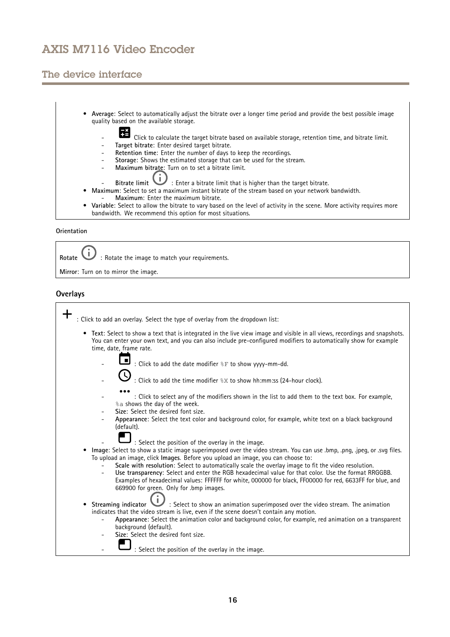## The device interface

• **Average**: Select to automatically adjust the bitrate over <sup>a</sup> longer time period and provide the best possible image quality based on the available storage. Click to calculate the target bitrate based on available storage, retention time, and bitrate limit. **Target bitrate**: Enter desired target bitrate. **Retention time**: Enter the number of days to keep the recordings. - **Storage**: Shows the estimated storage that can be used for the stream. **Maximum bitrate**: Turn on to set a bitrate limit. - **Bitrate limit** : Enter <sup>a</sup> bitrate limit that is higher than the target bitrate. • **Maximum**: Select to set <sup>a</sup> maximum instant bitrate of the stream based on your network bandwidth. **Maximum**: Enter the maximum bitrate. • **Variable**: Select to allow the bitrate to vary based on the level of activity in the scene. More activity requires more bandwidth. We recommend this option for most situations.

### **Orientation**

Rotate  $\bigcup$  : Rotate the image to match your requirements.

**Mirror**: Turn on to mirror the image.

### **Overlays**

| : Click to add an overlay. Select the type of overlay from the dropdown list:                                                                                                                                                                                                                                                                                      |
|--------------------------------------------------------------------------------------------------------------------------------------------------------------------------------------------------------------------------------------------------------------------------------------------------------------------------------------------------------------------|
| Text: Select to show a text that is integrated in the live view image and visible in all views, recordings and snapshots.<br>٠<br>You can enter your own text, and you can also include pre-configured modifiers to automatically show for example<br>time, date, frame rate.                                                                                      |
| : Click to add the date modifier $\S$ F to show yyyy-mm-dd.                                                                                                                                                                                                                                                                                                        |
| : Click to add the time modifier %X to show hh:mm:ss (24-hour clock).                                                                                                                                                                                                                                                                                              |
| : Click to select any of the modifiers shown in the list to add them to the text box. For example,<br>%a shows the day of the week.<br>Size: Select the desired font size.                                                                                                                                                                                         |
| Appearance: Select the text color and background color, for example, white text on a black background<br>(default).                                                                                                                                                                                                                                                |
| : Select the position of the overlay in the image.                                                                                                                                                                                                                                                                                                                 |
| Image: Select to show a static image superimposed over the video stream. You can use .bmp, .png, .jpeg, or .svg files.<br>To upload an image, click Images. Before you upload an image, you can choose to:                                                                                                                                                         |
| Scale with resolution: Select to automatically scale the overlay image to fit the video resolution.<br>Use transparency: Select and enter the RGB hexadecimal value for that color. Use the format RRGGBB.<br>Examples of hexadecimal values: FFFFFF for white, 000000 for black, FF00000 for red, 6633FF for blue, and<br>669900 for green. Only for .bmp images. |
| Streaming indicator $\mathbf{U}$ : Select to show an animation superimposed over the video stream. The animation                                                                                                                                                                                                                                                   |
| indicates that the video stream is live, even if the scene doesn't contain any motion.                                                                                                                                                                                                                                                                             |
| Appearance: Select the animation color and background color, for example, red animation on a transparent<br>background (default).                                                                                                                                                                                                                                  |
| Size: Select the desired font size.                                                                                                                                                                                                                                                                                                                                |
| : Select the position of the overlay in the image.                                                                                                                                                                                                                                                                                                                 |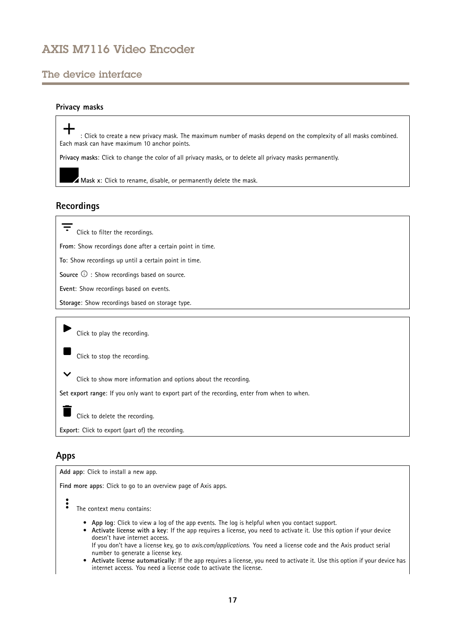## <span id="page-16-0"></span>The device interface

### **Privacy masks**

: Click to create <sup>a</sup> new privacy mask. The maximum number of masks depend on the complexity of all masks combined. Each mask can have maximum 10 anchor points.

**Privacy masks**: Click to change the color of all privacy masks, or to delete all privacy masks permanently.

**Mask <sup>x</sup>**: Click to rename, disable, or permanently delete the mask.

## **Recordings**

Click to filter the recordings.

**From**: Show recordings done after <sup>a</sup> certain point in time.

**To**: Show recordings up until <sup>a</sup> certain point in time.

**Source**  $\odot$  : Show recordings based on source.

**Event**: Show recordings based on events.

**Storage**: Show recordings based on storage type.

Click to play the recording.

Click to stop the recording.

Click to show more information and options about the recording.

**Set export range**: If you only want to export part of the recording, enter from when to when.

Click to delete the recording.

**Export**: Click to export (part of) the recording.

### **Apps**

**Add app**: Click to install <sup>a</sup> new app.

**Find more apps**: Click to go to an overview page of Axis apps.

The context menu contains:

- **App log**: Click to view <sup>a</sup> log of the app events. The log is helpful when you contact support.
- **Activate license with <sup>a</sup> key**: If the app requires <sup>a</sup> license, you need to activate it. Use this option if your device doesn't have internet access.

If you don't have <sup>a</sup> license key, go to *[axis.com/applications](https://www.axis.com/applications)*. You need <sup>a</sup> license code and the Axis product serial number to generate <sup>a</sup> license key.

• **Activate license automatically**: If the app requires <sup>a</sup> license, you need to activate it. Use this option if your device has internet access. You need a license code to activate the license.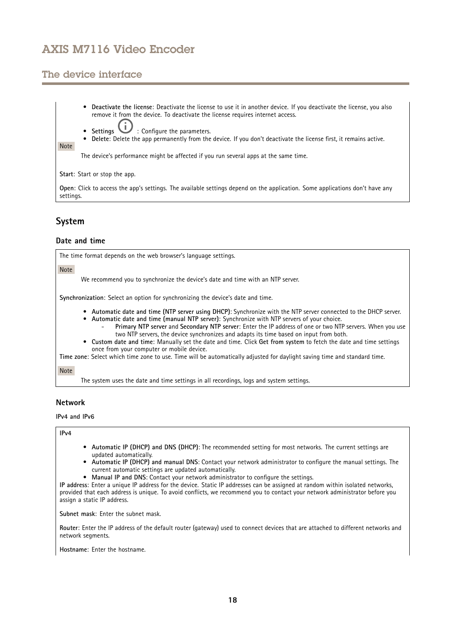## <span id="page-17-0"></span>The device interface

•

- **Deactivate the license**: Deactivate the license to use it in another device. If you deactivate the license, you also remove it from the device. To deactivate the license requires internet access.
	- **Settings**  $\overline{\mathbf{U}}$  : Configure the parameters.
- •**Delete**: Delete the app permanently from the device. If you don't deactivate the license first, it remains active.

The device's performance might be affected if you run several apps at the same time.

**Start**: Start or stop the app.

**Open**: Click to access the app's settings. The available settings depend on the application. Some applications don't have any settings.

## **System**

Note

### **Date and time**

The time format depends on the web browser's language settings.

Note

We recommend you to synchronize the device's date and time with an NTP server.

**Synchronization**: Select an option for synchronizing the device's date and time.

- **Automatic date and time (NTP server using DHCP)**: Synchronize with the NTP server connected to the DHCP server.
- **Automatic date and time (manual NTP server)**: Synchronize with NTP servers of your choice. **Primary NTP server** and **Secondary NTP server**: Enter the IP address of one or two NTP servers. When you use
- two NTP servers, the device synchronizes and adapts its time based on input from both. • **Custom date and time**: Manually set the date and time. Click **Get from system** to fetch the date and time settings once from your computer or mobile device.

**Time zone**: Select which time zone to use. Time will be automatically adjusted for daylight saving time and standard time.

Note

The system uses the date and time settings in all recordings, logs and system settings.

### **Network**

**IPv4 and IPv6**

### **IPv4**

- **Automatic IP (DHCP) and DNS (DHCP)**: The recommended setting for most networks. The current settings are updated automatically.
- • **Automatic IP (DHCP) and manual DNS**: Contact your network administrator to configure the manual settings. The current automatic settings are updated automatically.
- **Manual IP and DNS**: Contact your network administrator to configure the settings.

**IP address**: Enter <sup>a</sup> unique IP address for the device. Static IP addresses can be assigned at random within isolated networks, provided that each address is unique. To avoid conflicts, we recommend you to contact your network administrator before you assign <sup>a</sup> static IP address.

**Subnet mask**: Enter the subnet mask.

**Router**: Enter the IP address of the default router (gateway) used to connect devices that are attached to different networks and network segments.

**Hostname**: Enter the hostname.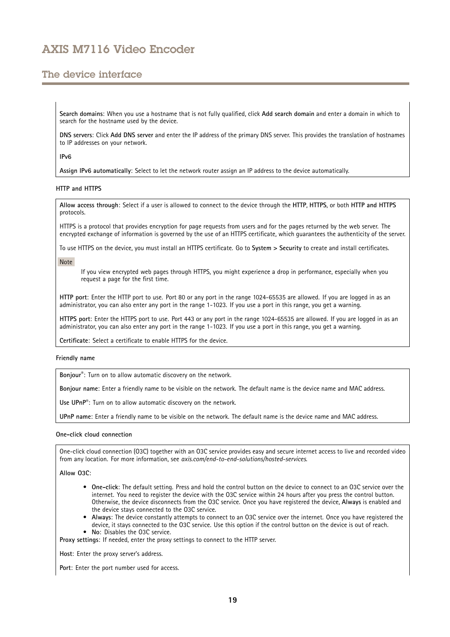## The device interface

**Search domains**: When you use <sup>a</sup> hostname that is not fully qualified, click **Add search domain** and enter <sup>a</sup> domain in which to search for the hostname used by the device.

**DNS servers**: Click **Add DNS server** and enter the IP address of the primary DNS server. This provides the translation of hostnames to IP addresses on your network.

**IPv6**

**Assign IPv6 automatically**: Select to let the network router assign an IP address to the device automatically.

### **HTTP and HTTPS**

**Allow access through**: Select if <sup>a</sup> user is allowed to connect to the device through the **HTTP**, **HTTPS**, or both **HTTP and HTTPS** protocols.

HTTPS is <sup>a</sup> protocol that provides encryption for page requests from users and for the pages returned by the web server. The encrypted exchange of information is governed by the use of an HTTPS certificate, which guarantees the authenticity of the server.

To use HTTPS on the device, you must install an HTTPS certificate. Go to **System <sup>&</sup>gt; Security** to create and install certificates.

Note

If you view encrypted web pages through HTTPS, you might experience <sup>a</sup> drop in performance, especially when you request <sup>a</sup> page for the first time.

**HTTP port**: Enter the HTTP port to use. Port 80 or any port in the range 1024-65535 are allowed. If you are logged in as an administrator, you can also enter any port in the range 1-1023. If you use <sup>a</sup> port in this range, you get <sup>a</sup> warning.

**HTTPS port**: Enter the HTTPS port to use. Port 443 or any port in the range 1024-65535 are allowed. If you are logged in as an administrator, you can also enter any port in the range 1-1023. If you use <sup>a</sup> port in this range, you get <sup>a</sup> warning.

**Certificate**: Select <sup>a</sup> certificate to enable HTTPS for the device.

**Friendly name**

**Bonjour**® : Turn on to allow automatic discovery on the network.

**Bonjour name**: Enter <sup>a</sup> friendly name to be visible on the network. The default name is the device name and MAC address.

**Use UPnP**® : Turn on to allow automatic discovery on the network.

**UPnP name**: Enter <sup>a</sup> friendly name to be visible on the network. The default name is the device name and MAC address.

#### **One-click cloud connection**

One-click cloud connection (O3C) together with an O3C service provides easy and secure internet access to live and recorded video from any location. For more information, see *[axis.com/end-to-end-solutions/hosted-services](https://www.axis.com/end-to-end-solutions/hosted-services)*.

**Allow O3C**:

- **One-click**: The default setting. Press and hold the control button on the device to connect to an O3C service over the internet. You need to register the device with the O3C service within 24 hours after you press the control button. Otherwise, the device disconnects from the O3C service. Once you have registered the device, **Always** is enabled and the device stays connected to the O3C service.
- **Always**: The device constantly attempts to connect to an O3C service over the internet. Once you have registered the device, it stays connected to the O3C service. Use this option if the control button on the device is out of reach. • **No**: Disables the O3C service.

**Proxy settings**: If needed, enter the proxy settings to connect to the HTTP server.

**Host**: Enter the proxy server's address.

**Port**: Enter the port number used for access.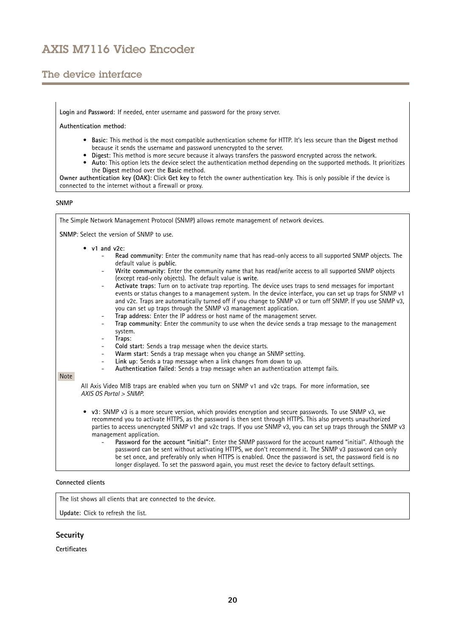## The device interface

**Login** and **Password**: If needed, enter username and password for the proxy server.

**Authentication method**:

- **Basic**: This method is the most compatible authentication scheme for HTTP. It's less secure than the **Digest** method because it sends the username and password unencrypted to the server.
- **Digest**: This method is more secure because it always transfers the password encrypted across the network.
- • **Auto**: This option lets the device select the authentication method depending on the supported methods. It prioritizes the **Digest** method over the **Basic** method.

**Owner authentication key (OAK)**: Click **Get key** to fetch the owner authentication key. This is only possible if the device is connected to the internet without <sup>a</sup> firewall or proxy.

### **SNMP**

| The Simple Network Management Protocol (SNMP) allows remote management of network devices.                                                                                                                                                                                                                                                                                                                                                                                                                                                                                                                                                                                                                                                                                                                                                                                                                                                                                                                                                                                                                                                                                                                                                                                                                                                                                                                                                                                                     |
|------------------------------------------------------------------------------------------------------------------------------------------------------------------------------------------------------------------------------------------------------------------------------------------------------------------------------------------------------------------------------------------------------------------------------------------------------------------------------------------------------------------------------------------------------------------------------------------------------------------------------------------------------------------------------------------------------------------------------------------------------------------------------------------------------------------------------------------------------------------------------------------------------------------------------------------------------------------------------------------------------------------------------------------------------------------------------------------------------------------------------------------------------------------------------------------------------------------------------------------------------------------------------------------------------------------------------------------------------------------------------------------------------------------------------------------------------------------------------------------------|
| SNMP: Select the version of SNMP to use.                                                                                                                                                                                                                                                                                                                                                                                                                                                                                                                                                                                                                                                                                                                                                                                                                                                                                                                                                                                                                                                                                                                                                                                                                                                                                                                                                                                                                                                       |
| $\bullet$ v1 and v2c:<br>Read community: Enter the community name that has read-only access to all supported SNMP objects. The<br>default value is public.<br>Write community: Enter the community name that has read/write access to all supported SNMP objects<br>$\overline{\phantom{a}}$<br>(except read-only objects). The default value is write.<br>Activate traps: Turn on to activate trap reporting. The device uses traps to send messages for important<br>$\overline{\phantom{a}}$<br>events or status changes to a management system. In the device interface, you can set up traps for SNMP v1<br>and v2c. Traps are automatically turned off if you change to SNMP v3 or turn off SNMP. If you use SNMP v3,<br>you can set up traps through the SNMP v3 management application.<br>Trap address: Enter the IP address or host name of the management server.<br>$\overline{\phantom{a}}$<br>Trap community: Enter the community to use when the device sends a trap message to the management<br>$\overline{\phantom{a}}$<br>system.<br>Traps:<br>۰<br>Cold start: Sends a trap message when the device starts.<br>$\overline{\phantom{a}}$<br>Warm start: Sends a trap message when you change an SNMP setting.<br>$\overline{\phantom{a}}$<br>Link up: Sends a trap message when a link changes from down to up.<br>$\overline{\phantom{a}}$<br>Authentication failed: Sends a trap message when an authentication attempt fails.<br>$\overline{\phantom{a}}$<br><b>Note</b> |
| All Axis Video MIB traps are enabled when you turn on SNMP v1 and v2c traps. For more information, see<br>AXIS OS Portal > SNMP.                                                                                                                                                                                                                                                                                                                                                                                                                                                                                                                                                                                                                                                                                                                                                                                                                                                                                                                                                                                                                                                                                                                                                                                                                                                                                                                                                               |
| • v3: SNMP v3 is a more secure version, which provides encryption and secure passwords. To use SNMP v3, we<br>recommend you to activate HTTPS, as the password is then sent through HTTPS. This also prevents unauthorized<br>parties to access unencrypted SNMP v1 and v2c traps. If you use SNMP v3, you can set up traps through the SNMP v3<br>management application.<br>Password for the account "initial": Enter the SNMP password for the account named "initial". Although the<br>password can be sent without activating HTTPS, we don't recommend it. The SNMP v3 password can only<br>be set once, and preferably only when HTTPS is enabled. Once the password is set, the password field is no<br>longer displayed. To set the password again, you must reset the device to factory default settings.                                                                                                                                                                                                                                                                                                                                                                                                                                                                                                                                                                                                                                                                            |

#### **Connected clients**

The list shows all clients that are connected to the device.

**Update**: Click to refresh the list.

### **Security**

### **Certificates**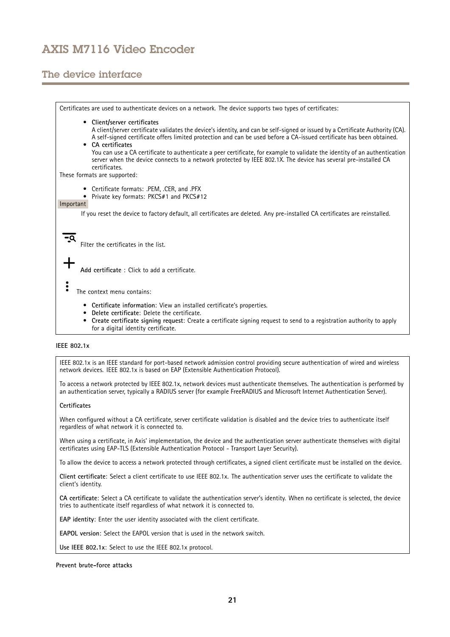## The device interface

Certificates are used to authenticate devices on <sup>a</sup> network. The device supports two types of certificates: • **Client/server certificates** A client/server certificate validates the device's identity, and can be self-signed or issued by <sup>a</sup> Certificate Authority (CA). A self-signed certificate offers limited protection and can be used before <sup>a</sup> CA-issued certificate has been obtained. **CA certificates** •You can use <sup>a</sup> CA certificate to authenticate <sup>a</sup> peer certificate, for example to validate the identity of an authentication server when the device connects to <sup>a</sup> network protected by IEEE 802.1X. The device has several pre-installed CA certificates. These formats are supported: • Certificate formats: .PEM, .CER, and .PFX • Private key formats: PKCS#1 and PKCS#12 Important If you reset the device to factory default, all certificates are deleted. Any pre-installed CA certificates are reinstalled.  $\overline{-9}$ Filter the certificates in the list. **Add certificate** : Click to add <sup>a</sup> certificate. The context menu contains: • **Certificate information**: View an installed certificate's properties. • **Delete certificate**: Delete the certificate. • **Create certificate signing request**: Create <sup>a</sup> certificate signing request to send to <sup>a</sup> registration authority to apply for <sup>a</sup> digital identity certificate.

### **IEEE 802.1x**

IEEE 802.1x is an IEEE standard for port-based network admission control providing secure authentication of wired and wireless network devices. IEEE 802.1x is based on EAP (Extensible Authentication Protocol).

To access <sup>a</sup> network protected by IEEE 802.1x, network devices must authenticate themselves. The authentication is performed by an authentication server, typically <sup>a</sup> RADIUS server (for example FreeRADIUS and Microsoft Internet Authentication Server).

### **Certificates**

When configured without <sup>a</sup> CA certificate, server certificate validation is disabled and the device tries to authenticate itself regardless of what network it is connected to.

When using <sup>a</sup> certificate, in Axis' implementation, the device and the authentication server authenticate themselves with digital certificates using EAP-TLS (Extensible Authentication Protocol - Transport Layer Security).

To allow the device to access <sup>a</sup> network protected through certificates, <sup>a</sup> signed client certificate must be installed on the device.

**Client certificate**: Select <sup>a</sup> client certificate to use IEEE 802.1x. The authentication server uses the certificate to validate the client's identity.

**CA certificate**: Select <sup>a</sup> CA certificate to validate the authentication server's identity. When no certificate is selected, the device tries to authenticate itself regardless of what network it is connected to.

**EAP identity**: Enter the user identity associated with the client certificate.

**EAPOL version**: Select the EAPOL version that is used in the network switch.

**Use IEEE 802.1x**: Select to use the IEEE 802.1x protocol.

### **Prevent brute-force attacks**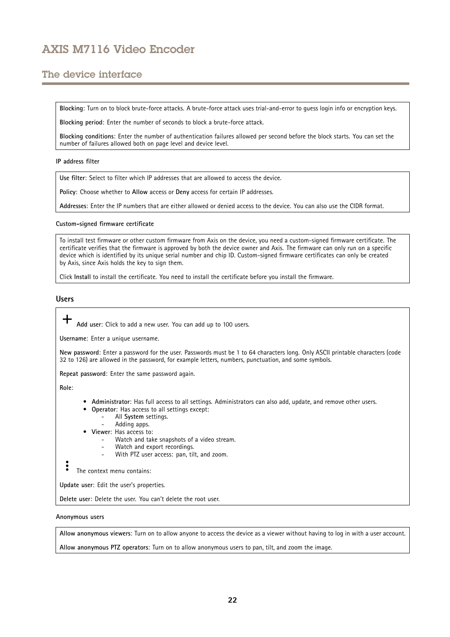## The device interface

**Blocking**: Turn on to block brute-force attacks. A brute-force attack uses trial-and-error to guess login info or encryption keys.

**Blocking period**: Enter the number of seconds to block <sup>a</sup> brute-force attack.

**Blocking conditions**: Enter the number of authentication failures allowed per second before the block starts. You can set the number of failures allowed both on page level and device level.

### **IP address filter**

**Use filter**: Select to filter which IP addresses that are allowed to access the device.

**Policy**: Choose whether to **Allow** access or **Deny** access for certain IP addresses.

**Addresses**: Enter the IP numbers that are either allowed or denied access to the device. You can also use the CIDR format.

#### **Custom-signed firmware certificate**

To install test firmware or other custom firmware from Axis on the device, you need <sup>a</sup> custom-signed firmware certificate. The certificate verifies that the firmware is approved by both the device owner and Axis. The firmware can only run on <sup>a</sup> specific device which is identified by its unique serial number and chip ID. Custom-signed firmware certificates can only be created by Axis, since Axis holds the key to sign them.

Click **Install** to install the certificate. You need to install the certificate before you install the firmware.

### **Users**

╈ **Add user**: Click to add <sup>a</sup> new user. You can add up to 100 users.

**Username**: Enter <sup>a</sup> unique username.

**New password**: Enter <sup>a</sup> password for the user. Passwords must be <sup>1</sup> to <sup>64</sup> characters long. Only ASCII printable characters (code <sup>32</sup> to 126) are allowed in the password, for example letters, numbers, punctuation, and some symbols.

**Repeat password**: Enter the same password again.

**Role**:

•

- **Administrator**: Has full access to all settings. Administrators can also add, update, and remove other users.
	- **Operator**: Has access to all settings except: All **System** settings.
	- Adding apps.
- **Viewer**: Has access to:
	- Watch and take snapshots of <sup>a</sup> video stream.
	- Watch and export recordings.
	- With PTZ user access: pan, tilt, and zoom.

The context menu contains:

**Update user**: Edit the user's properties.

**Delete user**: Delete the user. You can't delete the root user.

### **Anonymous users**

**Allow anonymous viewers**: Turn on to allow anyone to access the device as <sup>a</sup> viewer without having to log in with <sup>a</sup> user account.

**Allow anonymous PTZ operators**: Turn on to allow anonymous users to pan, tilt, and zoom the image.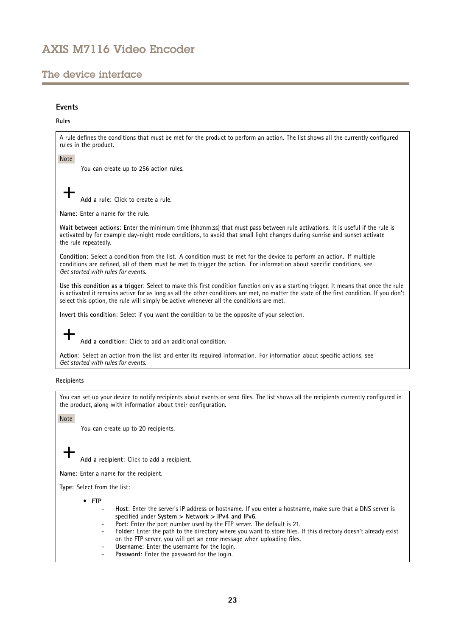## The device interface

### **Events**

### **Rules**

A rule defines the conditions that must be met for the product to perform an action. The list shows all the currently configured rules in the product.

Note

┿

You can create up to 256 action rules.

**Add <sup>a</sup> rule**: Click to create <sup>a</sup> rule.

**Name**: Enter a name for the rule.

**Wait between actions**: Enter the minimum time (hh:mm:ss) that must pass between rule activations. It is useful if the rule is activated by for example day-night mode conditions, to avoid that small light changes during sunrise and sunset activate the rule repeatedly.

**Condition**: Select <sup>a</sup> condition from the list. A condition must be met for the device to perform an action. If multiple conditions are defined, all of them must be met to trigger the action. For information about specific conditions, see *Get [started](https://help.axis.com/get-started-with-rules-for-events#conditions) with rules for events*.

**Use this condition as <sup>a</sup> trigger**: Select to make this first condition function only as <sup>a</sup> starting trigger. It means that once the rule is activated it remains active for as long as all the other conditions are met, no matter the state of the first condition. If you don't select this option, the rule will simply be active whenever all the conditions are met.

**Invert this condition**: Select if you want the condition to be the opposite of your selection.

**Add <sup>a</sup> condition**: Click to add an additional condition.

**Action**: Select an action from the list and enter its required information. For information about specific actions, see *Get [started](https://help.axis.com/get-started-with-rules-for-events#actions) with rules for events*.

### **Recipients**

You can set up your device to notify recipients about events or send files. The list shows all the recipients currently configured in the product, along with information about their configuration.

Note

You can create up to 20 recipients.

**Add <sup>a</sup> recipient**: Click to add <sup>a</sup> recipient.

**Name**: Enter <sup>a</sup> name for the recipient.

**Type**: Select from the list:

- **FTP**
	- **Host**: Enter the server's IP address or hostname. If you enter <sup>a</sup> hostname, make sure that <sup>a</sup> DNS server is specified under **System <sup>&</sup>gt; Network <sup>&</sup>gt; IPv4 and IPv6**.
	- **Port**: Enter the port number used by the FTP server. The default is 21.
	- **Folder**: Enter the path to the directory where you want to store files. If this directory doesn't already exist on the FTP server, you will get an error message when uploading files.
	- **Username**: Enter the username for the login.
	- **Password**: Enter the password for the login.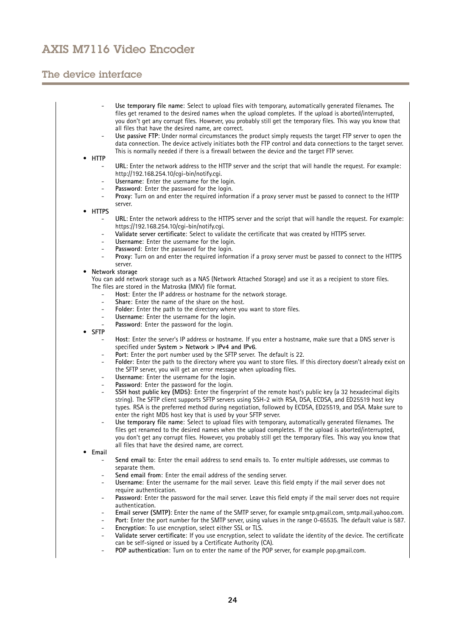## The device interface

|                          | Use temporary file name: Select to upload files with temporary, automatically generated filenames. The             |
|--------------------------|--------------------------------------------------------------------------------------------------------------------|
|                          | files get renamed to the desired names when the upload completes. If the upload is aborted/interrupted,            |
|                          | you don't get any corrupt files. However, you probably still get the temporary files. This way you know that       |
|                          | all files that have the desired name, are correct.                                                                 |
| $\overline{\phantom{a}}$ | Use passive FTP: Under normal circumstances the product simply requests the target FTP server to open the          |
|                          | data connection. The device actively initiates both the FTP control and data connections to the target server.     |
|                          | This is normally needed if there is a firewall between the device and the target FTP server.                       |
| <b>HTTP</b>              |                                                                                                                    |
|                          | URL: Enter the network address to the HTTP server and the script that will handle the request. For example:        |
|                          | http://192.168.254.10/cgi-bin/notify.cgi.                                                                          |
|                          |                                                                                                                    |
| $\overline{\phantom{a}}$ | Username: Enter the username for the login.                                                                        |
| $\blacksquare$           | Password: Enter the password for the login.                                                                        |
| $\overline{\phantom{a}}$ | Proxy: Turn on and enter the required information if a proxy server must be passed to connect to the HTTP          |
|                          | server.                                                                                                            |
| • HTTPS                  |                                                                                                                    |
| $\overline{\phantom{a}}$ | URL: Enter the network address to the HTTPS server and the script that will handle the request. For example:       |
|                          | https://192.168.254.10/cgi-bin/notify.cgi.                                                                         |
| $\overline{\phantom{a}}$ | Validate server certificate: Select to validate the certificate that was created by HTTPS server.                  |
| $\blacksquare$           | Username: Enter the username for the login.                                                                        |
| $\sim$                   | Password: Enter the password for the login.                                                                        |
| $\overline{\phantom{a}}$ | Proxy: Turn on and enter the required information if a proxy server must be passed to connect to the HTTPS         |
|                          | server.                                                                                                            |
|                          |                                                                                                                    |
|                          | Network storage                                                                                                    |
|                          | You can add network storage such as a NAS (Network Attached Storage) and use it as a recipient to store files.     |
|                          | The files are stored in the Matroska (MKV) file format.                                                            |
| $\sim$                   | Host: Enter the IP address or hostname for the network storage.                                                    |
| $\overline{\phantom{a}}$ | Share: Enter the name of the share on the host.                                                                    |
| $\overline{\phantom{a}}$ | Folder: Enter the path to the directory where you want to store files.                                             |
| $\overline{\phantom{a}}$ | Username: Enter the username for the login.                                                                        |
| $\blacksquare$           | Password: Enter the password for the login.                                                                        |
| <b>SFTP</b>              |                                                                                                                    |
| $\overline{\phantom{a}}$ | Host: Enter the server's IP address or hostname. If you enter a hostname, make sure that a DNS server is           |
|                          | specified under System > Network > IPv4 and IPv6.                                                                  |
| $\overline{\phantom{a}}$ | Port: Enter the port number used by the SFTP server. The default is 22.                                            |
| $\overline{\phantom{a}}$ | Folder: Enter the path to the directory where you want to store files. If this directory doesn't already exist on  |
|                          |                                                                                                                    |
|                          | the SFTP server, you will get an error message when uploading files.                                               |
| $\overline{\phantom{a}}$ | Username: Enter the username for the login.                                                                        |
| $\overline{\phantom{a}}$ | Password: Enter the password for the login.                                                                        |
| $\overline{\phantom{a}}$ | SSH host public key (MD5): Enter the fingerprint of the remote host's public key (a 32 hexadecimal digits          |
|                          | string). The SFTP client supports SFTP servers using SSH-2 with RSA, DSA, ECDSA, and ED25519 host key              |
|                          | types. RSA is the preferred method during negotiation, followed by ECDSA, ED25519, and DSA. Make sure to           |
|                          | enter the right MD5 host key that is used by your SFTP server.                                                     |
| $\overline{\phantom{a}}$ | Use temporary file name: Select to upload files with temporary, automatically generated filenames. The             |
|                          | files get renamed to the desired names when the upload completes. If the upload is aborted/interrupted,            |
|                          | you don't get any corrupt files. However, you probably still get the temporary files. This way you know that       |
|                          | all files that have the desired name, are correct.                                                                 |
| Email                    |                                                                                                                    |
| $\sim$                   | Send email to: Enter the email address to send emails to. To enter multiple addresses, use commas to               |
|                          |                                                                                                                    |
|                          | separate them.                                                                                                     |
|                          | Send email from: Enter the email address of the sending server.                                                    |
| $\overline{\phantom{a}}$ | Username: Enter the username for the mail server. Leave this field empty if the mail server does not               |
|                          | require authentication.                                                                                            |
|                          | Password: Enter the password for the mail server. Leave this field empty if the mail server does not require       |
|                          | authentication.                                                                                                    |
| $\overline{\phantom{a}}$ | Email server (SMTP): Enter the name of the SMTP server, for example smtp.gmail.com, smtp.mail.yahoo.com.           |
| $\overline{\phantom{a}}$ | Port: Enter the port number for the SMTP server, using values in the range 0-65535. The default value is 587.      |
| $\overline{\phantom{a}}$ | Encryption: To use encryption, select either SSL or TLS.                                                           |
|                          | Validate server certificate: If you use encryption, select to validate the identity of the device. The certificate |
|                          | can be self-signed or issued by a Certificate Authority (CA).                                                      |
| $\overline{\phantom{a}}$ | POP authentication: Turn on to enter the name of the POP server, for example pop.gmail.com.                        |
|                          |                                                                                                                    |
|                          |                                                                                                                    |
|                          |                                                                                                                    |
|                          |                                                                                                                    |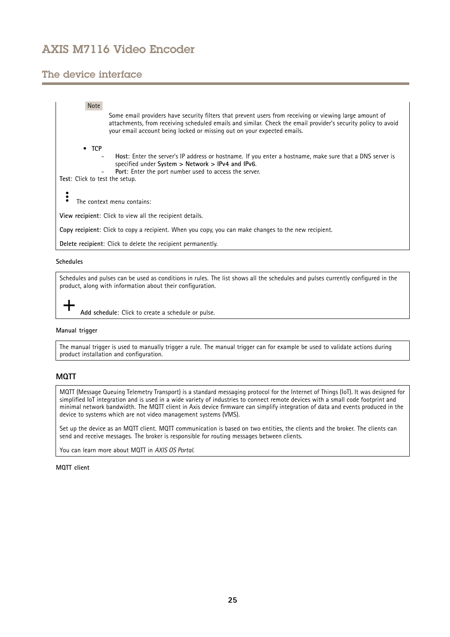## The device interface

## Note Some email providers have security filters that prevent users from receiving or viewing large amount of attachments, from receiving scheduled emails and similar. Check the email provider's security policy to avoid your email account being locked or missing out on your expected emails. • **TCP Host**: Enter the server's IP address or hostname. If you enter <sup>a</sup> hostname, make sure that <sup>a</sup> DNS server is specified under **System <sup>&</sup>gt; Network <sup>&</sup>gt; IPv4 and IPv6**. **Port**: Enter the port number used to access the server. **Test**: Click to test the setup.  $\ddot{\cdot}$ The context menu contains: **View recipient**: Click to view all the recipient details.

**Copy recipient**: Click to copy <sup>a</sup> recipient. When you copy, you can make changes to the new recipient.

**Delete recipient**: Click to delete the recipient permanently.

### **Schedules**

Schedules and pulses can be used as conditions in rules. The list shows all the schedules and pulses currently configured in the product, along with information about their configuration.

**Add schedule**: Click to create <sup>a</sup> schedule or pulse.

### **Manual trigger**

The manual trigger is used to manually trigger <sup>a</sup> rule. The manual trigger can for example be used to validate actions during product installation and configuration.

### **MQTT**

MQTT (Message Queuing Telemetry Transport) is <sup>a</sup> standard messaging protocol for the Internet of Things (IoT). It was designed for simplified IoT integration and is used in <sup>a</sup> wide variety of industries to connect remote devices with <sup>a</sup> small code footprint and minimal network bandwidth. The MQTT client in Axis device firmware can simplify integration of data and events produced in the device to systems which are not video management systems (VMS).

Set up the device as an MQTT client. MQTT communication is based on two entities, the clients and the broker. The clients can send and receive messages. The broker is responsible for routing messages between clients.

You can learn more about MQTT in *AXIS OS [Portal](https://help.axis.com/axis-os#mqtt)*.

### **MQTT client**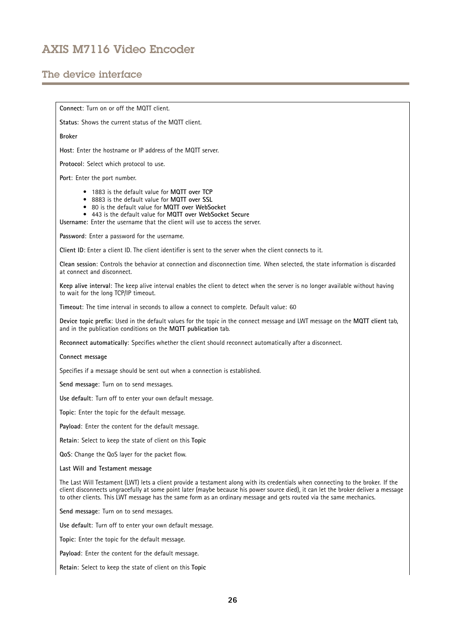## The device interface

**Connect**: Turn on or off the MQTT client.

Status: Shows the current status of the MQTT client.

**Broker**

**Host**: Enter the hostname or IP address of the MQTT server.

**Protocol**: Select which protocol to use.

**Port**: Enter the port number.

- 1883 is the default value for **MQTT over TCP**
- 8883 is the default value for **MQTT over SSL**
- 80 is the default value for **MQTT over WebSocket**
- 443 is the default value for **MQTT over WebSocket Secure**
- **Username**: Enter the username that the client will use to access the server.

**Password**: Enter <sup>a</sup> password for the username.

**Client ID**: Enter <sup>a</sup> client ID. The client identifier is sent to the server when the client connects to it.

**Clean session**: Controls the behavior at connection and disconnection time. When selected, the state information is discarded at connect and disconnect.

**Keep alive interval**: The keep alive interval enables the client to detect when the server is no longer available without having to wait for the long TCP/IP timeout.

**Timeout**: The time interval in seconds to allow <sup>a</sup> connect to complete. Default value: 60

**Device topic prefix**: Used in the default values for the topic in the connect message and LWT message on the **MQTT client** tab, and in the publication conditions on the **MQTT publication** tab.

**Reconnect automatically**: Specifies whether the client should reconnect automatically after <sup>a</sup> disconnect.

#### **Connect message**

Specifies if <sup>a</sup> message should be sent out when <sup>a</sup> connection is established.

**Send message**: Turn on to send messages.

**Use default**: Turn off to enter your own default message.

**Topic**: Enter the topic for the default message.

**Payload**: Enter the content for the default message.

**Retain**: Select to keep the state of client on this **Topic**

**QoS**: Change the QoS layer for the packet flow.

#### **Last Will and Testament message**

The Last Will Testament (LWT) lets <sup>a</sup> client provide <sup>a</sup> testament along with its credentials when connecting to the broker. If the client disconnects ungracefully at some point later (maybe because his power source died), it can let the broker deliver <sup>a</sup> message to other clients. This LWT message has the same form as an ordinary message and gets routed via the same mechanics.

**Send message**: Turn on to send messages.

**Use default**: Turn off to enter your own default message.

**Topic**: Enter the topic for the default message.

**Payload**: Enter the content for the default message.

**Retain**: Select to keep the state of client on this **Topic**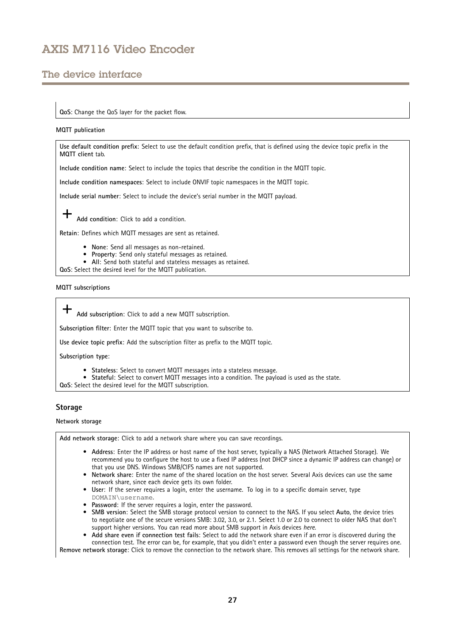## The device interface

### **QoS**: Change the QoS layer for the packet flow.

#### **MQTT publication**

**Use default condition prefix**: Select to use the default condition prefix, that is defined using the device topic prefix in the **MQTT client** tab.

**Include condition name**: Select to include the topics that describe the condition in the MQTT topic.

**Include condition namespaces**: Select to include ONVIF topic namespaces in the MQTT topic.

**Include serial number**: Select to include the device's serial number in the MQTT payload.

**Add condition**: Click to add <sup>a</sup> condition.

**Retain**: Defines which MQTT messages are sent as retained.

- **None**: Send all messages as non-retained.
- **Property**: Send only stateful messages as retained.
- **All**: Send both stateful and stateless messages as retained.
- **QoS**: Select the desired level for the MQTT publication.

#### **MQTT subscriptions**

**Add subscription**: Click to add <sup>a</sup> new MQTT subscription.

**Subscription filter**: Enter the MQTT topic that you want to subscribe to.

**Use device topic prefix**: Add the subscription filter as prefix to the MQTT topic.

**Subscription type**:

- **Stateless**: Select to convert MQTT messages into <sup>a</sup> stateless message.
- **Stateful**: Select to convert MQTT messages into <sup>a</sup> condition. The payload is used as the state.

**QoS**: Select the desired level for the MQTT subscription.

### **Storage**

#### **Network storage**

**Add network storage**: Click to add <sup>a</sup> network share where you can save recordings.

- **Address**: Enter the IP address or host name of the host server, typically <sup>a</sup> NAS (Network Attached Storage). We recommend you to configure the host to use <sup>a</sup> fixed IP address (not DHCP since <sup>a</sup> dynamic IP address can change) or that you use DNS. Windows SMB/CIFS names are not supported.
- **Network share**: Enter the name of the shared location on the host server. Several Axis devices can use the same network share, since each device gets its own folder.
- **User**: If the server requires <sup>a</sup> login, enter the username. To log in to <sup>a</sup> specific domain server, type DOMAIN\username.
- **Password**: If the server requires <sup>a</sup> login, enter the password.
- **SMB version**: Select the SMB storage protocol version to connect to the NAS. If you select **Auto**, the device tries to negotiate one of the secure versions SMB: 3.02, 3.0, or 2.1. Select 1.0 or 2.0 to connect to older NAS that don't support higher versions. You can read more about SMB support in Axis devices *[here](https://help.axis.com/axis-os#about-cifssmb-support)*.
- **Add share even if connection test fails**: Select to add the network share even if an error is discovered during the connection test. The error can be, for example, that you didn't enter <sup>a</sup> password even though the server requires one.

**Remove network storage**: Click to remove the connection to the network share. This removes all settings for the network share.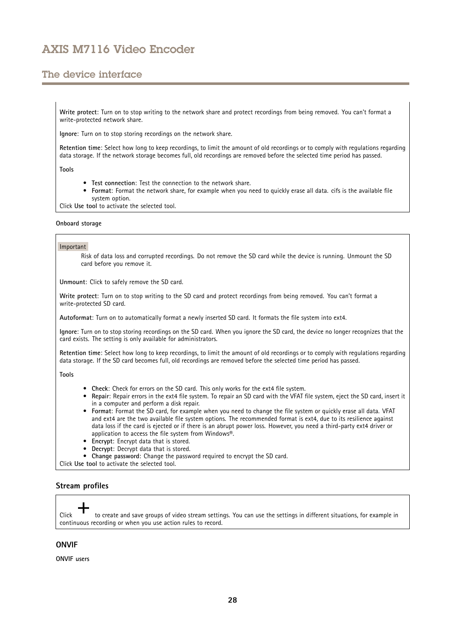## The device interface

**Write protect**: Turn on to stop writing to the network share and protect recordings from being removed. You can't format <sup>a</sup> write-protected network share.

**Ignore**: Turn on to stop storing recordings on the network share.

**Retention time**: Select how long to keep recordings, to limit the amount of old recordings or to comply with regulations regarding data storage. If the network storage becomes full, old recordings are removed before the selected time period has passed.

**Tools**

- **Test connection**: Test the connection to the network share.
- • **Format**: Format the network share, for example when you need to quickly erase all data. cifs is the available file system option.

Click **Use tool** to activate the selected tool.

#### **Onboard storage**

#### Important

Risk of data loss and corrupted recordings. Do not remove the SD card while the device is running. Unmount the SD card before you remove it.

**Unmount**: Click to safely remove the SD card.

**Write protect**: Turn on to stop writing to the SD card and protect recordings from being removed. You can't format <sup>a</sup> write-protected SD card.

**Autoformat**: Turn on to automatically format <sup>a</sup> newly inserted SD card. It formats the file system into ext4.

**Ignore**: Turn on to stop storing recordings on the SD card. When you ignore the SD card, the device no longer recognizes that the card exists. The setting is only available for administrators.

**Retention time**: Select how long to keep recordings, to limit the amount of old recordings or to comply with regulations regarding data storage. If the SD card becomes full, old recordings are removed before the selected time period has passed.

**Tools**

- **Check**: Check for errors on the SD card. This only works for the ext4 file system.
- **Repair**: Repair errors in the ext4 file system. To repair an SD card with the VFAT file system, eject the SD card, insert it in <sup>a</sup> computer and perform <sup>a</sup> disk repair.
- • **Format**: Format the SD card, for example when you need to change the file system or quickly erase all data. VFAT and ext4 are the two available file system options. The recommended format is ext4, due to its resilience against data loss if the card is ejected or if there is an abrupt power loss. However, you need <sup>a</sup> third-party ext4 driver or application to access the file system from Windows®.
- •**Encrypt**: Encrypt data that is stored.
- **Decrypt**: Decrypt data that is stored.
- **Change password**: Change the password required to encrypt the SD card.

Click **Use tool** to activate the selected tool.

### **Stream profiles**

Click to create and save groups of video stream settings. You can use the settings in different situations, for example in continuous recording or when you use action rules to record.

### **ONVIF**

**ONVIF users**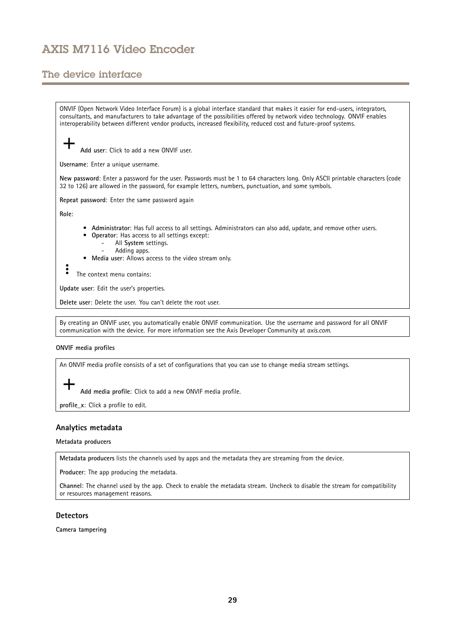## The device interface

ONVIF (Open Network Video Interface Forum) is <sup>a</sup> global interface standard that makes it easier for end-users, integrators, consultants, and manufacturers to take advantage of the possibilities offered by network video technology. ONVIF enables interoperability between different vendor products, increased flexibility, reduced cost and future-proof systems. **Add user**: Click to add <sup>a</sup> new ONVIF user. **Username**: Enter <sup>a</sup> unique username. **New password**: Enter <sup>a</sup> password for the user. Passwords must be <sup>1</sup> to <sup>64</sup> characters long. Only ASCII printable characters (code <sup>32</sup> to 126) are allowed in the password, for example letters, numbers, punctuation, and some symbols. **Repeat password**: Enter the same password again **Role**: **Administrator**: Has full access to all settings. Administrators can also add, update, and remove other users. • **Operator**: Has access to all settings except: • All **System** settings. Adding apps. **Media user**: Allows access to the video stream only. • $\ddot{\cdot}$ The context menu contains: **Update user**: Edit the user's properties. **Delete user**: Delete the user. You can't delete the root user.

By creating an ONVIF user, you automatically enable ONVIF communication. Use the username and password for all ONVIF communication with the device. For more information see the Axis Developer Community at *[axis.com](https://www.axis.com/developer-community-intro)*.

### **ONVIF media profiles**

An ONVIF media profile consists of <sup>a</sup> set of configurations that you can use to change media stream settings.

**Add media profile**: Click to add <sup>a</sup> new ONVIF media profile.

**profile\_x**: Click <sup>a</sup> profile to edit.

### **Analytics metadata**

**Metadata producers**

**Metadata producers** lists the channels used by apps and the metadata they are streaming from the device.

**Producer**: The app producing the metadata.

**Channel**: The channel used by the app. Check to enable the metadata stream. Uncheck to disable the stream for compatibility or resources management reasons.

### **Detectors**

**Camera tampering**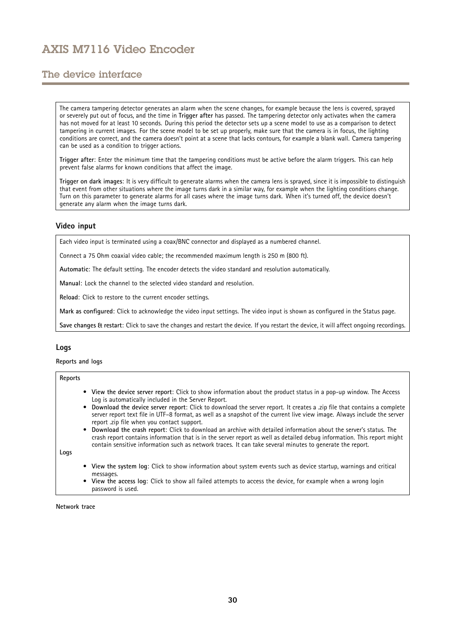## The device interface

The camera tampering detector generates an alarm when the scene changes, for example because the lens is covered, sprayed or severely put out of focus, and the time in **Trigger after** has passed. The tampering detector only activates when the camera has not moved for at least 10 seconds. During this period the detector sets up <sup>a</sup> scene model to use as <sup>a</sup> comparison to detect tampering in current images. For the scene model to be set up properly, make sure that the camera is in focus, the lighting conditions are correct, and the camera doesn't point at <sup>a</sup> scene that lacks contours, for example <sup>a</sup> blank wall. Camera tampering can be used as <sup>a</sup> condition to trigger actions.

**Trigger after**: Enter the minimum time that the tampering conditions must be active before the alarm triggers. This can help prevent false alarms for known conditions that affect the image.

**Trigger on dark images**: It is very difficult to generate alarms when the camera lens is sprayed, since it is impossible to distinguish that event from other situations where the image turns dark in <sup>a</sup> similar way, for example when the lighting conditions change. Turn on this parameter to generate alarms for all cases where the image turns dark. When it's turned off, the device doesn't generate any alarm when the image turns dark.

### **Video input**

Each video input is terminated using <sup>a</sup> coax/BNC connector and displayed as <sup>a</sup> numbered channel.

Connect <sup>a</sup> <sup>75</sup> Ohm coaxial video cable; the recommended maximum length is <sup>250</sup> <sup>m</sup> (800 ft).

**Automatic**: The default setting. The encoder detects the video standard and resolution automatically.

**Manual**: Lock the channel to the selected video standard and resolution.

**Reload**: Click to restore to the current encoder settings.

**Mark as configured**: Click to acknowledge the video input settings. The video input is shown as configured in the Status page.

**Save changes & restart**: Click to save the changes and restart the device. If you restart the device, it will affect ongoing recordings.

### **Logs**

**Reports and logs**

#### **Reports**

- **View the device server report**: Click to show information about the product status in <sup>a</sup> pop-up window. The Access Log is automatically included in the Server Report.
- **Download the device server report**: Click to download the server report. It creates <sup>a</sup> .zip file that contains <sup>a</sup> complete server report text file in UTF–8 format, as well as <sup>a</sup> snapshot of the current live view image. Always include the server report .zip file when you contact support.
- **Download the crash report**: Click to download an archive with detailed information about the server's status. The crash report contains information that is in the server report as well as detailed debug information. This report might contain sensitive information such as network traces. It can take several minutes to generate the report.

**Logs**

- **View the system log**: Click to show information about system events such as device startup, warnings and critical messages.
- • **View the access log**: Click to show all failed attempts to access the device, for example when <sup>a</sup> wrong login password is used.

**Network trace**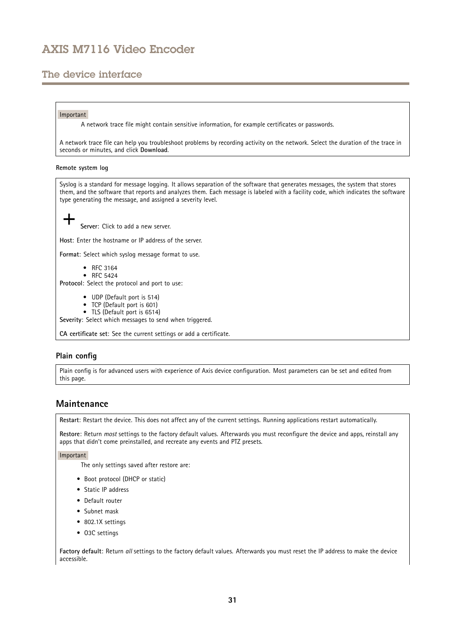## <span id="page-30-0"></span>The device interface

#### Important

A network trace file might contain sensitive information, for example certificates or passwords.

A network trace file can help you troubleshoot problems by recording activity on the network. Select the duration of the trace in seconds or minutes, and click **Download**.

#### **Remote system log**

Syslog is <sup>a</sup> standard for message logging. It allows separation of the software that generates messages, the system that stores them, and the software that reports and analyzes them. Each message is labeled with <sup>a</sup> facility code, which indicates the software type generating the message, and assigned <sup>a</sup> severity level. **Server**: Click to add <sup>a</sup> new server. **Host**: Enter the hostname or IP address of the server. **Format**: Select which syslog message format to use. • RFC 3164 • RFC 5424 **Protocol**: Select the protocol and port to use: • UDP (Default port is 514) • TCP (Default port is 601) • TLS (Default port is 6514) **Severity**: Select which messages to send when triggered.

**CA certificate set**: See the current settings or add <sup>a</sup> certificate.

### **Plain config**

Plain config is for advanced users with experience of Axis device configuration. Most parameters can be set and edited from this page.

### **Maintenance**

**Restart**: Restart the device. This does not affect any of the current settings. Running applications restart automatically.

**Restore**: Return *most* settings to the factory default values. Afterwards you must reconfigure the device and apps, reinstall any apps that didn't come preinstalled, and recreate any events and PTZ presets.

Important

The only settings saved after restore are:

- Boot protocol (DHCP or static)
- Static IP address
- Default router
- Subnet mask
- 802.1X settings
- O3C settings

**Factory default**: Return *all* settings to the factory default values. Afterwards you must reset the IP address to make the device accessible.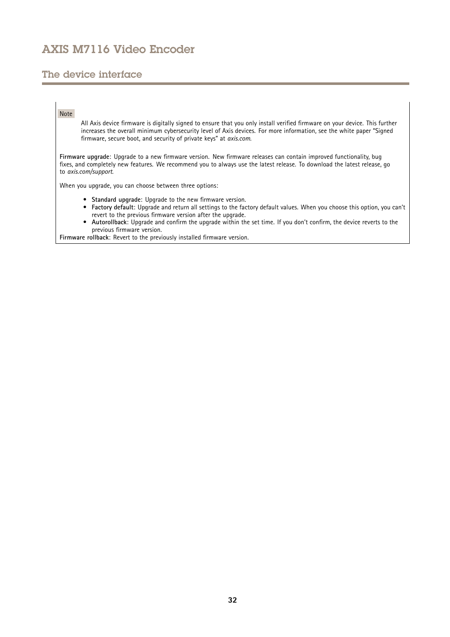## The device interface

### Note

All Axis device firmware is digitally signed to ensure that you only install verified firmware on your device. This further increases the overall minimum cybersecurity level of Axis devices. For more information, see the white paper "Signed firmware, secure boot, and security of private keys" at *[axis.com](https://www.axis.com/learning/white-papers)*.

**Firmware upgrade**: Upgrade to <sup>a</sup> new firmware version. New firmware releases can contain improved functionality, bug fixes, and completely new features. We recommend you to always use the latest release. To download the latest release, go to *[axis.com/support](https://www.axis.com/support/firmware)*.

When you upgrade, you can choose between three options:

- **Standard upgrade**: Upgrade to the new firmware version.
	- • **Factory default**: Upgrade and return all settings to the factory default values. When you choose this option, you can't revert to the previous firmware version after the upgrade.
- • **Autorollback**: Upgrade and confirm the upgrade within the set time. If you don't confirm, the device reverts to the previous firmware version.

**Firmware rollback**: Revert to the previously installed firmware version.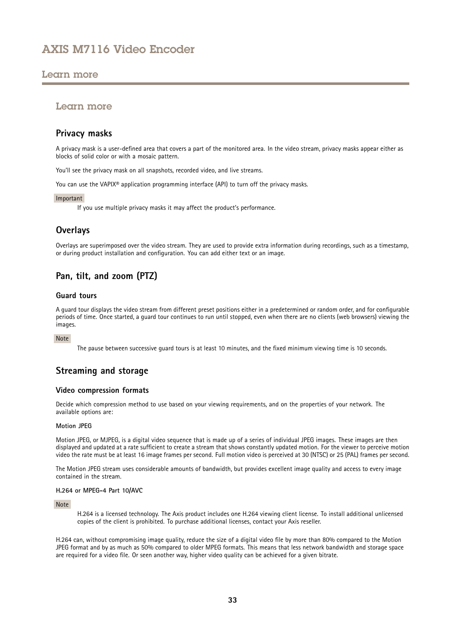### <span id="page-32-0"></span>Learn more

### Learn more

### **Privacy masks**

A privacy mask is <sup>a</sup> user-defined area that covers <sup>a</sup> part of the monitored area. In the video stream, privacy masks appear either as blocks of solid color or with <sup>a</sup> mosaic pattern.

You'll see the privacy mask on all snapshots, recorded video, and live streams.

You can use the VAPIX® application programming interface (API) to turn off the privacy masks.

### Important

If you use multiple privacy masks it may affect the product's performance.

## **Overlays**

Overlays are superimposed over the video stream. They are used to provide extra information during recordings, such as <sup>a</sup> timestamp, or during product installation and configuration. You can add either text or an image.

## **Pan, tilt, and zoom (PTZ)**

### **Guard tours**

A guard tour displays the video stream from different preset positions either in <sup>a</sup> predetermined or random order, and for configurable periods of time. Once started, <sup>a</sup> guard tour continues to run until stopped, even when there are no clients (web browsers) viewing the images.

### Note

The pause between successive guard tours is at least 10 minutes, and the fixed minimum viewing time is 10 seconds.

## **Streaming and storage**

### **Video compression formats**

Decide which compression method to use based on your viewing requirements, and on the properties of your network. The available options are:

### **Motion JPEG**

Motion JPEG, or MJPEG, is <sup>a</sup> digital video sequence that is made up of <sup>a</sup> series of individual JPEG images. These images are then displayed and updated at <sup>a</sup> rate sufficient to create <sup>a</sup> stream that shows constantly updated motion. For the viewer to perceive motion video the rate must be at least <sup>16</sup> image frames per second. Full motion video is perceived at <sup>30</sup> (NTSC) or <sup>25</sup> (PAL) frames per second.

The Motion JPEG stream uses considerable amounts of bandwidth, but provides excellent image quality and access to every image contained in the stream.

#### **H.264 or MPEG-4 Part 10/AVC**

### Note

H.264 is <sup>a</sup> licensed technology. The Axis product includes one H.264 viewing client license. To install additional unlicensed copies of the client is prohibited. To purchase additional licenses, contact your Axis reseller.

H.264 can, without compromising image quality, reduce the size of <sup>a</sup> digital video file by more than 80% compared to the Motion JPEG format and by as much as 50% compared to older MPEG formats. This means that less network bandwidth and storage space are required for <sup>a</sup> video file. Or seen another way, higher video quality can be achieved for <sup>a</sup> given bitrate.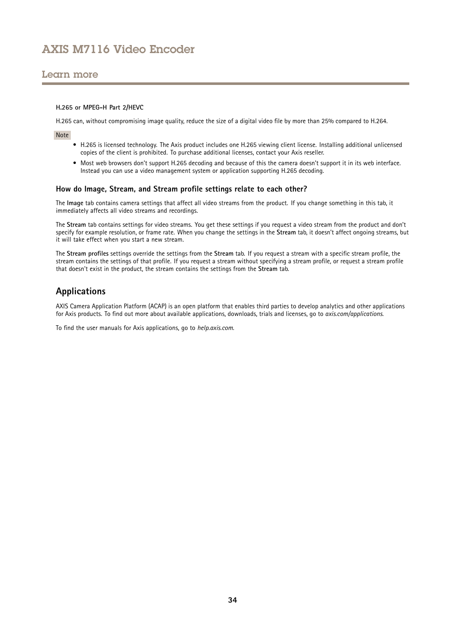### <span id="page-33-0"></span>Learn more

#### **H.265 or MPEG-H Part 2/HEVC**

H.265 can, without compromising image quality, reduce the size of <sup>a</sup> digital video file by more than 25% compared to H.264.

Note

- H.265 is licensed technology. The Axis product includes one H.265 viewing client license. Installing additional unlicensed copies of the client is prohibited. To purchase additional licenses, contact your Axis reseller.
- Most web browsers don't support H.265 decoding and because of this the camera doesn't support it in its web interface. Instead you can use <sup>a</sup> video management system or application supporting H.265 decoding.

### **How do Image, Stream, and Stream profile settings relate to each other?**

The **Image** tab contains camera settings that affect all video streams from the product. If you change something in this tab, it immediately affects all video streams and recordings.

The **Stream** tab contains settings for video streams. You get these settings if you request <sup>a</sup> video stream from the product and don't specify for example resolution, or frame rate. When you change the settings in the **Stream** tab, it doesn't affect ongoing streams, but it will take effect when you start <sup>a</sup> new stream.

The **Stream profiles** settings override the settings from the **Stream** tab. If you request <sup>a</sup> stream with <sup>a</sup> specific stream profile, the stream contains the settings of that profile. If you request <sup>a</sup> stream without specifying <sup>a</sup> stream profile, or request <sup>a</sup> stream profile that doesn't exist in the product, the stream contains the settings from the **Stream** tab.

## **Applications**

AXIS Camera Application Platform (ACAP) is an open platform that enables third parties to develop analytics and other applications for Axis products. To find out more about available applications, downloads, trials and licenses, go to *[axis.com/applications](https://www.axis.com/applications)*.

To find the user manuals for Axis applications, go to *[help.axis.com](https://help.axis.com)*.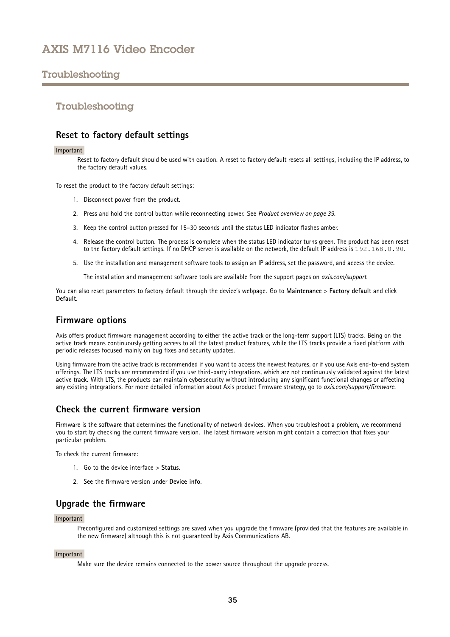## <span id="page-34-0"></span>Troubleshooting

### Troubleshooting

### **Reset to factory default settings**

#### Important

Reset to factory default should be used with caution. A reset to factory default resets all settings, including the IP address, to the factory default values.

To reset the product to the factory default settings:

- 1. Disconnect power from the product.
- 2. Press and hold the control button while reconnecting power. See *Product [overview](#page-38-0) on page [39](#page-38-0)*.
- 3. Keep the control button pressed for 15–30 seconds until the status LED indicator flashes amber.
- 4. Release the control button. The process is complete when the status LED indicator turns green. The product has been reset to the factory default settings. If no DHCP server is available on the network, the default IP address is 192.168.0.90.
- 5. Use the installation and management software tools to assign an IP address, set the password, and access the device.

The installation and management software tools are available from the support pages on *[axis.com/support](https://www.axis.com/support)*.

You can also reset parameters to factory default through the device's webpage. Go to **Maintenance** <sup>&</sup>gt; **Factory default** and click **Default**.

### **Firmware options**

Axis offers product firmware management according to either the active track or the long-term support (LTS) tracks. Being on the active track means continuously getting access to all the latest product features, while the LTS tracks provide <sup>a</sup> fixed platform with periodic releases focused mainly on bug fixes and security updates.

Using firmware from the active track is recommended if you want to access the newest features, or if you use Axis end-to-end system offerings. The LTS tracks are recommended if you use third-party integrations, which are not continuously validated against the latest active track. With LTS, the products can maintain cybersecurity without introducing any significant functional changes or affecting any existing integrations. For more detailed information about Axis product firmware strategy, go to *[axis.com/support/firmware](https://www.axis.com/support/firmware)*.

### **Check the current firmware version**

Firmware is the software that determines the functionality of network devices. When you troubleshoot <sup>a</sup> problem, we recommend you to start by checking the current firmware version. The latest firmware version might contain <sup>a</sup> correction that fixes your particular problem.

To check the current firmware:

- 1. Go to the device interface <sup>&</sup>gt; **Status**.
- 2. See the firmware version under **Device info**.

### **Upgrade the firmware**

### Important

Preconfigured and customized settings are saved when you upgrade the firmware (provided that the features are available in the new firmware) although this is not guaranteed by Axis Communications AB.

#### Important

Make sure the device remains connected to the power source throughout the upgrade process.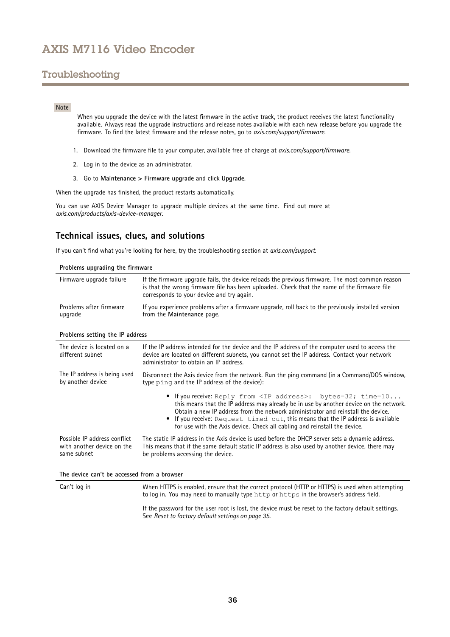## <span id="page-35-0"></span>Troubleshooting

### Note

When you upgrade the device with the latest firmware in the active track, the product receives the latest functionality available. Always read the upgrade instructions and release notes available with each new release before you upgrade the firmware. To find the latest firmware and the release notes, go to *[axis.com/support/firmware](https://www.axis.com/support/firmware)*.

- 1. Download the firmware file to your computer, available free of charge at *[axis.com/support/firmware](https://www.axis.com/support/firmware)*.
- 2. Log in to the device as an administrator.
- 3. Go to **Maintenance <sup>&</sup>gt; Firmware upgrade** and click **Upgrade**.

When the upgrade has finished, the product restarts automatically.

You can use AXIS Device Manager to upgrade multiple devices at the same time. Find out more at *[axis.com/products/axis-device-manager](https://www.axis.com/products/axis-device-manager)*.

### **Technical issues, clues, and solutions**

If you can't find what you're looking for here, try the troubleshooting section at *[axis.com/support](https://www.axis.com/support)*.

| Problems upgrading the firmware    |                                                                                                                                                                                                                                             |  |
|------------------------------------|---------------------------------------------------------------------------------------------------------------------------------------------------------------------------------------------------------------------------------------------|--|
| Firmware upgrade failure           | If the firmware upgrade fails, the device reloads the previous firmware. The most common reason<br>is that the wrong firmware file has been uploaded. Check that the name of the firmware file<br>corresponds to your device and try again. |  |
| Problems after firmware<br>upgrade | If you experience problems after a firmware upgrade, roll back to the previously installed version<br>from the Maintenance page.                                                                                                            |  |

#### **Problems setting the IP address**

| The device is located on a<br>different subnet                            | If the IP address intended for the device and the IP address of the computer used to access the<br>device are located on different subnets, you cannot set the IP address. Contact your network<br>administrator to obtain an IP address.                                                                                                                                                                               |
|---------------------------------------------------------------------------|-------------------------------------------------------------------------------------------------------------------------------------------------------------------------------------------------------------------------------------------------------------------------------------------------------------------------------------------------------------------------------------------------------------------------|
| The IP address is being used<br>by another device                         | Disconnect the Axis device from the network. Run the ping command (in a Command/DOS window,<br>type ping and the IP address of the device):                                                                                                                                                                                                                                                                             |
|                                                                           | • If you receive: Reply from <ip address="">: bytes=32; time=10<br/>this means that the IP address may already be in use by another device on the network.<br/>Obtain a new IP address from the network administrator and reinstall the device.<br/>• If you receive: Request timed out, this means that the IP address is available<br/>for use with the Axis device. Check all cabling and reinstall the device.</ip> |
| Possible IP address conflict<br>with another device on the<br>same subnet | The static IP address in the Axis device is used before the DHCP server sets a dynamic address.<br>This means that if the same default static IP address is also used by another device, there may<br>be problems accessing the device.                                                                                                                                                                                 |
| The device can't be accessed from a browser                               |                                                                                                                                                                                                                                                                                                                                                                                                                         |
| Can't log in                                                              | When HTTPS is enabled, ensure that the correct protocol (HTTP or HTTPS) is used when attempting<br>to log in. You may need to manually type http or https in the browser's address field.                                                                                                                                                                                                                               |

If the password for the user root is lost, the device must be reset to the factory default settings. See *Reset to factory default [settings](#page-34-0) on page [35](#page-34-0)*.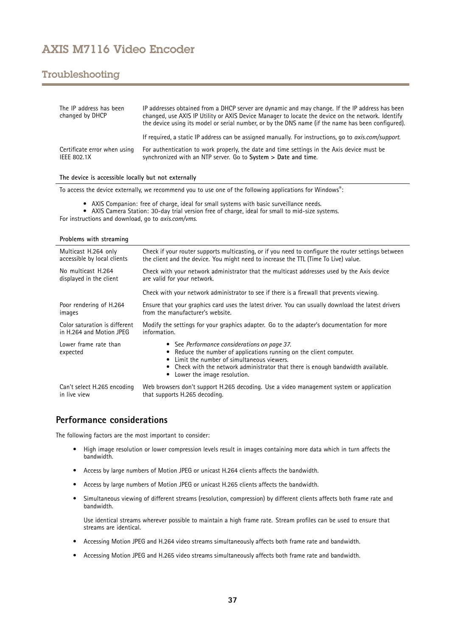## <span id="page-36-0"></span>Troubleshooting

| The IP address has been<br>changed by DHCP  | IP addresses obtained from a DHCP server are dynamic and may change. If the IP address has been<br>changed, use AXIS IP Utility or AXIS Device Manager to locate the device on the network. Identify<br>the device using its model or serial number, or by the DNS name (if the name has been configured). |
|---------------------------------------------|------------------------------------------------------------------------------------------------------------------------------------------------------------------------------------------------------------------------------------------------------------------------------------------------------------|
|                                             | If required, a static IP address can be assigned manually. For instructions, go to <i>axis.com/support.</i>                                                                                                                                                                                                |
| Certificate error when using<br>IEEE 802.1X | For authentication to work properly, the date and time settings in the Axis device must be<br>synchronized with an NTP server. Go to System > Date and time.                                                                                                                                               |

### **The device is accessible locally but not externally**

To access the device externally, we recommend you to use one of the following applications for Windows® :

- AXIS Companion: free of charge, ideal for small systems with basic surveillance needs.
- AXIS Camera Station: 30-day trial version free of charge, ideal for small to mid-size systems. For instructions and download, go to *[axis.com/vms](https://www.axis.com/vms)*.

| Multicast H.264 only              | Check if your router supports multicasting, or if you need to configure the router settings between                                                                                                                                                                                        |  |
|-----------------------------------|--------------------------------------------------------------------------------------------------------------------------------------------------------------------------------------------------------------------------------------------------------------------------------------------|--|
| accessible by local clients       | the client and the device. You might need to increase the TTL (Time To Live) value.                                                                                                                                                                                                        |  |
| No multicast H.264                | Check with your network administrator that the multicast addresses used by the Axis device                                                                                                                                                                                                 |  |
| displayed in the client           | are valid for your network.                                                                                                                                                                                                                                                                |  |
|                                   | Check with your network administrator to see if there is a firewall that prevents viewing.                                                                                                                                                                                                 |  |
| Poor rendering of H.264           | Ensure that your graphics card uses the latest driver. You can usually download the latest drivers                                                                                                                                                                                         |  |
| images                            | from the manufacturer's website.                                                                                                                                                                                                                                                           |  |
| Color saturation is different     | Modify the settings for your graphics adapter. Go to the adapter's documentation for more                                                                                                                                                                                                  |  |
| in H.264 and Motion JPEG          | information.                                                                                                                                                                                                                                                                               |  |
| Lower frame rate than<br>expected | • See Performance considerations on page 37.<br>• Reduce the number of applications running on the client computer.<br>• Limit the number of simultaneous viewers.<br>• Check with the network administrator that there is enough bandwidth available.<br>Lower the image resolution.<br>٠ |  |
| Can't select H.265 encoding       | Web browsers don't support H.265 decoding. Use a video management system or application                                                                                                                                                                                                    |  |
| in live view                      | that supports H.265 decoding.                                                                                                                                                                                                                                                              |  |

### **Performance considerations**

The following factors are the most important to consider:

- • High image resolution or lower compression levels result in images containing more data which in turn affects the bandwidth.
- Access by large numbers of Motion JPEG or unicast H.264 clients affects the bandwidth.
- Access by large numbers of Motion JPEG or unicast H.265 clients affects the bandwidth.
- • Simultaneous viewing of different streams (resolution, compression) by different clients affects both frame rate and bandwidth.

Use identical streams wherever possible to maintain <sup>a</sup> high frame rate. Stream profiles can be used to ensure that streams are identical.

- Accessing Motion JPEG and H.264 video streams simultaneously affects both frame rate and bandwidth.
- Accessing Motion JPEG and H.265 video streams simultaneously affects both frame rate and bandwidth.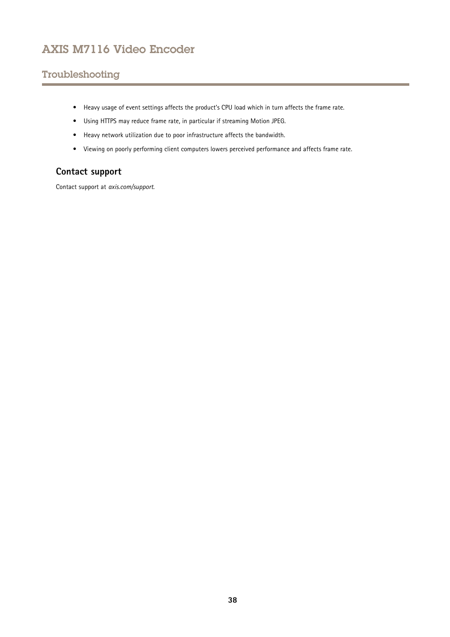# <span id="page-37-0"></span>Troubleshooting

- Heavy usage of event settings affects the product's CPU load which in turn affects the frame rate.
- Using HTTPS may reduce frame rate, in particular if streaming Motion JPEG.
- Heavy network utilization due to poor infrastructure affects the bandwidth.
- Viewing on poorly performing client computers lowers perceived performance and affects frame rate.

## **Contact support**

Contact support at *[axis.com/support](https://www.axis.com/support)*.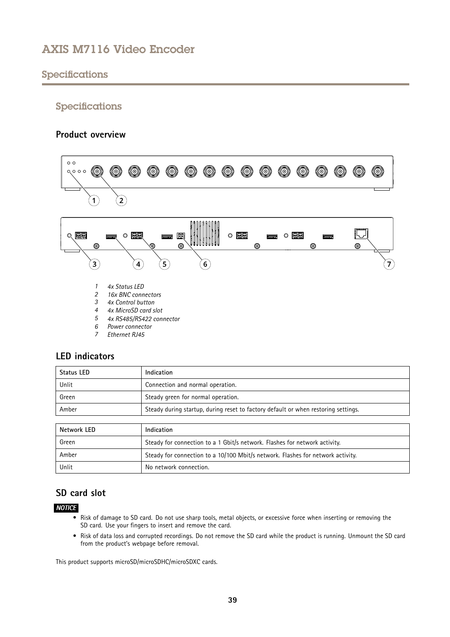## <span id="page-38-0"></span>Specifications

### Specifications

### **Product overview**



- 
- *7 Ethernet RJ45*

## **LED indicators**

| Indication                                                                         |
|------------------------------------------------------------------------------------|
| Connection and normal operation.                                                   |
| Steady green for normal operation.                                                 |
| Steady during startup, during reset to factory default or when restoring settings. |
|                                                                                    |

| Network LED | Indication                                                                      |  |
|-------------|---------------------------------------------------------------------------------|--|
| Green       | Steady for connection to a 1 Gbit/s network. Flashes for network activity.      |  |
| Amber       | Steady for connection to a 10/100 Mbit/s network. Flashes for network activity. |  |
| Unlit       | No network connection.                                                          |  |

## **SD card slot**

### *NOTICE*

- • Risk of damage to SD card. Do not use sharp tools, metal objects, or excessive force when inserting or removing the SD card. Use your fingers to insert and remove the card.
- Risk of data loss and corrupted recordings. Do not remove the SD card while the product is running. Unmount the SD card from the product's webpage before removal.

This product supports microSD/microSDHC/microSDXC cards.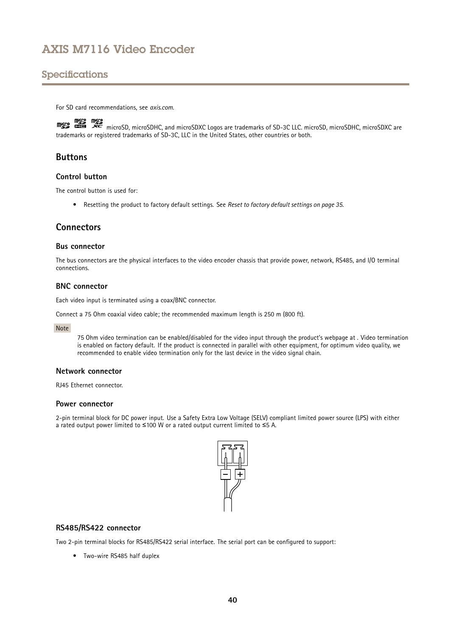## <span id="page-39-0"></span>Specifications

For SD card recommendations, see *[axis.com](https://www.axis.com)*.

microsoft microsoft, and microSDXC Logos are trademarks of SD-3C LLC. microSD, microSDHC, microSDXC are microSDXC are microSDXC are microSDXC are microSDXC are microsoft with the system of the the microsoft with the system trademarks or registered trademarks of SD-3C, LLC in the United States, other countries or both.

### **Buttons**

### **Control button**

The control button is used for:

• Resetting the product to factory default settings. See *Reset to factory default [settings](#page-34-0) on page [35](#page-34-0)*.

### **Connectors**

### **Bus connector**

The bus connectors are the physical interfaces to the video encoder chassis that provide power, network, RS485, and I/O terminal connections.

### **BNC connector**

Each video input is terminated using <sup>a</sup> coax/BNC connector.

Connect <sup>a</sup> <sup>75</sup> Ohm coaxial video cable; the recommended maximum length is <sup>250</sup> <sup>m</sup> (800 ft).

#### Note

<sup>75</sup> Ohm video termination can be enabled/disabled for the video input through the product's webpage at . Video termination is enabled on factory default. If the product is connected in parallel with other equipment, for optimum video quality, we recommended to enable video termination only for the last device in the video signal chain.

### **Network connector**

RJ45 Ethernet connector.

### **Power connector**

2-pin terminal block for DC power input. Use <sup>a</sup> Safety Extra Low Voltage (SELV) compliant limited power source (LPS) with either <sup>a</sup> rated output power limited to <sup>≤</sup>100 W or <sup>a</sup> rated output current limited to <sup>≤</sup>5 A.



### **RS485/RS422 connector**

Two 2-pin terminal blocks for RS485/RS422 serial interface. The serial port can be configured to support:

• Two-wire RS485 half duplex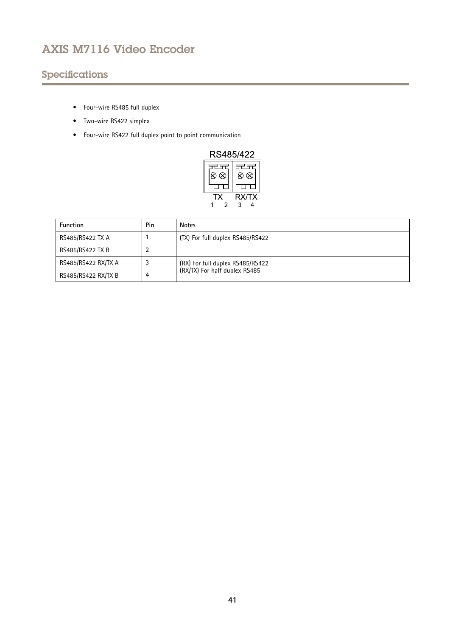# Specifications

- Four-wire RS485 full duplex
- Two-wire RS422 simplex
- Four-wire RS422 full duplex point to point communication

| RS485/422 |                                        |  |  |  |
|-----------|----------------------------------------|--|--|--|
|           |                                        |  |  |  |
| ∞         | ×                                      |  |  |  |
|           | $\overline{\mathsf{R} \mathsf{X}}$ /TX |  |  |  |
|           |                                        |  |  |  |

| <b>Function</b>     | Pin | <b>Notes</b>                                                      |  |
|---------------------|-----|-------------------------------------------------------------------|--|
| RS485/RS422 TX A    |     | (TX) For full duplex RS485/RS422                                  |  |
| RS485/RS422 TX B    |     |                                                                   |  |
| RS485/RS422 RX/TX A |     | (RX) For full duplex RS485/RS422<br>(RX/TX) For half duplex RS485 |  |
| RS485/RS422 RX/TX B | 4   |                                                                   |  |